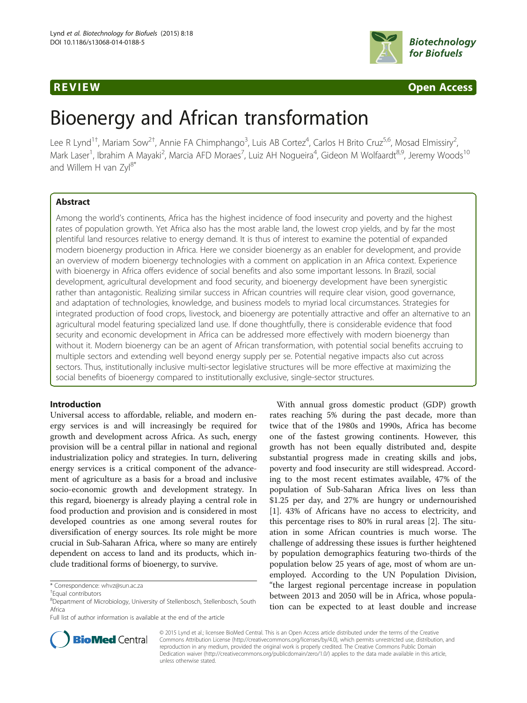

# **REVIEW CONSTRUCTION CONSTRUCTION CONSTRUCTS**

# Bioenergy and African transformation

Lee R Lynd<sup>1†</sup>, Mariam Sow<sup>2†</sup>, Annie FA Chimphango<sup>3</sup>, Luis AB Cortez<sup>4</sup>, Carlos H Brito Cruz<sup>5,6</sup>, Mosad Elmissiry<sup>2</sup> , Mark Laser<sup>1</sup>, Ibrahim A Mayaki<sup>2</sup>, Marcia AFD Moraes<sup>7</sup>, Luiz AH Nogueira<sup>4</sup>, Gideon M Wolfaardt<sup>8,9</sup>, Jeremy Woods<sup>10</sup> and Willem H van  $Zv18*$ 

# Abstract

Among the world's continents, Africa has the highest incidence of food insecurity and poverty and the highest rates of population growth. Yet Africa also has the most arable land, the lowest crop yields, and by far the most plentiful land resources relative to energy demand. It is thus of interest to examine the potential of expanded modern bioenergy production in Africa. Here we consider bioenergy as an enabler for development, and provide an overview of modern bioenergy technologies with a comment on application in an Africa context. Experience with bioenergy in Africa offers evidence of social benefits and also some important lessons. In Brazil, social development, agricultural development and food security, and bioenergy development have been synergistic rather than antagonistic. Realizing similar success in African countries will require clear vision, good governance, and adaptation of technologies, knowledge, and business models to myriad local circumstances. Strategies for integrated production of food crops, livestock, and bioenergy are potentially attractive and offer an alternative to an agricultural model featuring specialized land use. If done thoughtfully, there is considerable evidence that food security and economic development in Africa can be addressed more effectively with modern bioenergy than without it. Modern bioenergy can be an agent of African transformation, with potential social benefits accruing to multiple sectors and extending well beyond energy supply per se. Potential negative impacts also cut across sectors. Thus, institutionally inclusive multi-sector legislative structures will be more effective at maximizing the social benefits of bioenergy compared to institutionally exclusive, single-sector structures.

# Introduction

Universal access to affordable, reliable, and modern energy services is and will increasingly be required for growth and development across Africa. As such, energy provision will be a central pillar in national and regional industrialization policy and strategies. In turn, delivering energy services is a critical component of the advancement of agriculture as a basis for a broad and inclusive socio-economic growth and development strategy. In this regard, bioenergy is already playing a central role in food production and provision and is considered in most developed countries as one among several routes for diversification of energy sources. Its role might be more crucial in Sub-Saharan Africa, where so many are entirely dependent on access to land and its products, which include traditional forms of bioenergy, to survive.

With annual gross domestic product (GDP) growth rates reaching 5% during the past decade, more than twice that of the 1980s and 1990s, Africa has become one of the fastest growing continents. However, this growth has not been equally distributed and, despite substantial progress made in creating skills and jobs, poverty and food insecurity are still widespread. According to the most recent estimates available, 47% of the population of Sub-Saharan Africa lives on less than \$1.25 per day, and 27% are hungry or undernourished [[1\]](#page-15-0). 43% of Africans have no access to electricity, and this percentage rises to 80% in rural areas [[2\]](#page-15-0). The situation in some African countries is much worse. The challenge of addressing these issues is further heightened by population demographics featuring two-thirds of the population below 25 years of age, most of whom are unemployed. According to the UN Population Division, "the largest regional percentage increase in population between 2013 and 2050 will be in Africa, whose population can be expected to at least double and increase



© 2015 Lynd et al.; licensee BioMed Central. This is an Open Access article distributed under the terms of the Creative Commons Attribution License [\(http://creativecommons.org/licenses/by/4.0\)](http://creativecommons.org/licenses/by/4.0), which permits unrestricted use, distribution, and reproduction in any medium, provided the original work is properly credited. The Creative Commons Public Domain Dedication waiver [\(http://creativecommons.org/publicdomain/zero/1.0/](http://creativecommons.org/publicdomain/zero/1.0/)) applies to the data made available in this article, unless otherwise stated.

<sup>\*</sup> Correspondence: [whvz@sun.ac.za](mailto:whvz@sun.ac.za) †

Equal contributors

<sup>8</sup> Department of Microbiology, University of Stellenbosch, Stellenbosch, South Africa

Full list of author information is available at the end of the article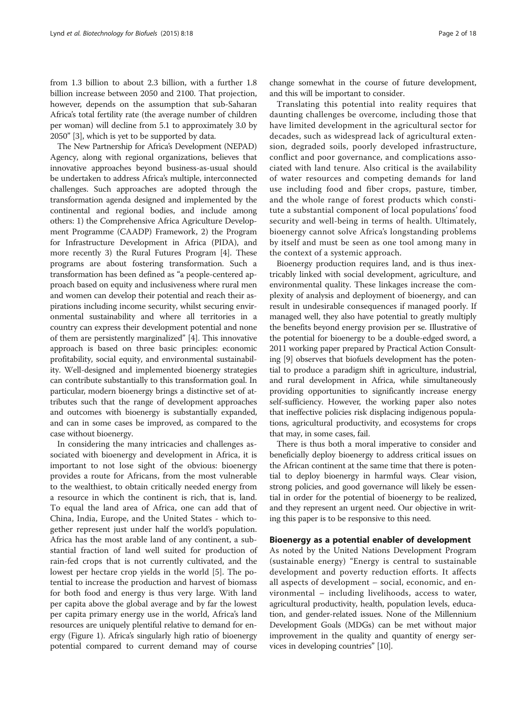from 1.3 billion to about 2.3 billion, with a further 1.8 billion increase between 2050 and 2100. That projection, however, depends on the assumption that sub-Saharan Africa's total fertility rate (the average number of children per woman) will decline from 5.1 to approximately 3.0 by 2050" [\[3](#page-15-0)], which is yet to be supported by data.

The New Partnership for Africa's Development (NEPAD) Agency, along with regional organizations, believes that innovative approaches beyond business-as-usual should be undertaken to address Africa's multiple, interconnected challenges. Such approaches are adopted through the transformation agenda designed and implemented by the continental and regional bodies, and include among others: 1) the Comprehensive Africa Agriculture Development Programme (CAADP) Framework, 2) the Program for Infrastructure Development in Africa (PIDA), and more recently 3) the Rural Futures Program [\[4\]](#page-15-0). These programs are about fostering transformation. Such a transformation has been defined as "a people-centered approach based on equity and inclusiveness where rural men and women can develop their potential and reach their aspirations including income security, whilst securing environmental sustainability and where all territories in a country can express their development potential and none of them are persistently marginalized" [[4](#page-15-0)]. This innovative approach is based on three basic principles: economic profitability, social equity, and environmental sustainability. Well-designed and implemented bioenergy strategies can contribute substantially to this transformation goal. In particular, modern bioenergy brings a distinctive set of attributes such that the range of development approaches and outcomes with bioenergy is substantially expanded, and can in some cases be improved, as compared to the case without bioenergy.

In considering the many intricacies and challenges associated with bioenergy and development in Africa, it is important to not lose sight of the obvious: bioenergy provides a route for Africans, from the most vulnerable to the wealthiest, to obtain critically needed energy from a resource in which the continent is rich, that is, land. To equal the land area of Africa, one can add that of China, India, Europe, and the United States - which together represent just under half the world's population. Africa has the most arable land of any continent, a substantial fraction of land well suited for production of rain-fed crops that is not currently cultivated, and the lowest per hectare crop yields in the world [\[5](#page-15-0)]. The potential to increase the production and harvest of biomass for both food and energy is thus very large. With land per capita above the global average and by far the lowest per capita primary energy use in the world, Africa's land resources are uniquely plentiful relative to demand for energy (Figure [1\)](#page-2-0). Africa's singularly high ratio of bioenergy potential compared to current demand may of course

change somewhat in the course of future development, and this will be important to consider.

Translating this potential into reality requires that daunting challenges be overcome, including those that have limited development in the agricultural sector for decades, such as widespread lack of agricultural extension, degraded soils, poorly developed infrastructure, conflict and poor governance, and complications associated with land tenure. Also critical is the availability of water resources and competing demands for land use including food and fiber crops, pasture, timber, and the whole range of forest products which constitute a substantial component of local populations' food security and well-being in terms of health. Ultimately, bioenergy cannot solve Africa's longstanding problems by itself and must be seen as one tool among many in the context of a systemic approach.

Bioenergy production requires land, and is thus inextricably linked with social development, agriculture, and environmental quality. These linkages increase the complexity of analysis and deployment of bioenergy, and can result in undesirable consequences if managed poorly. If managed well, they also have potential to greatly multiply the benefits beyond energy provision per se. Illustrative of the potential for bioenergy to be a double-edged sword, a 2011 working paper prepared by Practical Action Consulting [\[9](#page-15-0)] observes that biofuels development has the potential to produce a paradigm shift in agriculture, industrial, and rural development in Africa, while simultaneously providing opportunities to significantly increase energy self-sufficiency. However, the working paper also notes that ineffective policies risk displacing indigenous populations, agricultural productivity, and ecosystems for crops that may, in some cases, fail.

There is thus both a moral imperative to consider and beneficially deploy bioenergy to address critical issues on the African continent at the same time that there is potential to deploy bioenergy in harmful ways. Clear vision, strong policies, and good governance will likely be essential in order for the potential of bioenergy to be realized, and they represent an urgent need. Our objective in writing this paper is to be responsive to this need.

### Bioenergy as a potential enabler of development

As noted by the United Nations Development Program (sustainable energy) "Energy is central to sustainable development and poverty reduction efforts. It affects all aspects of development – social, economic, and environmental – including livelihoods, access to water, agricultural productivity, health, population levels, education, and gender-related issues. None of the Millennium Development Goals (MDGs) can be met without major improvement in the quality and quantity of energy services in developing countries" [\[10\]](#page-15-0).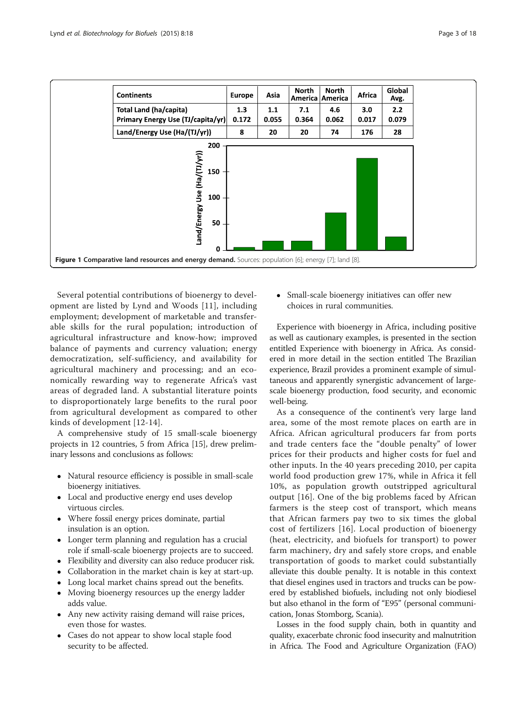<span id="page-2-0"></span>

Several potential contributions of bioenergy to development are listed by Lynd and Woods [\[11\]](#page-15-0), including employment; development of marketable and transferable skills for the rural population; introduction of agricultural infrastructure and know-how; improved balance of payments and currency valuation; energy democratization, self-sufficiency, and availability for agricultural machinery and processing; and an economically rewarding way to regenerate Africa's vast areas of degraded land. A substantial literature points to disproportionately large benefits to the rural poor from agricultural development as compared to other kinds of development [[12](#page-15-0)-[14](#page-15-0)].

A comprehensive study of 15 small-scale bioenergy projects in 12 countries, 5 from Africa [[15](#page-15-0)], drew preliminary lessons and conclusions as follows:

- Natural resource efficiency is possible in small-scale bioenergy initiatives.
- Local and productive energy end uses develop virtuous circles.
- Where fossil energy prices dominate, partial insulation is an option.
- Longer term planning and regulation has a crucial role if small-scale bioenergy projects are to succeed.
- Flexibility and diversity can also reduce producer risk.
- Collaboration in the market chain is key at start-up.
- Long local market chains spread out the benefits.
- Moving bioenergy resources up the energy ladder adds value.
- Any new activity raising demand will raise prices, even those for wastes.
- Cases do not appear to show local staple food security to be affected.

• Small-scale bioenergy initiatives can offer new choices in rural communities.

Experience with bioenergy in Africa, including positive as well as cautionary examples, is presented in the section entitled Experience with bioenergy in Africa. As considered in more detail in the section entitled The Brazilian experience, Brazil provides a prominent example of simultaneous and apparently synergistic advancement of largescale bioenergy production, food security, and economic well-being.

As a consequence of the continent's very large land area, some of the most remote places on earth are in Africa. African agricultural producers far from ports and trade centers face the "double penalty" of lower prices for their products and higher costs for fuel and other inputs. In the 40 years preceding 2010, per capita world food production grew 17%, while in Africa it fell 10%, as population growth outstripped agricultural output [[16](#page-15-0)]. One of the big problems faced by African farmers is the steep cost of transport, which means that African farmers pay two to six times the global cost of fertilizers [[16](#page-15-0)]. Local production of bioenergy (heat, electricity, and biofuels for transport) to power farm machinery, dry and safely store crops, and enable transportation of goods to market could substantially alleviate this double penalty. It is notable in this context that diesel engines used in tractors and trucks can be powered by established biofuels, including not only biodiesel but also ethanol in the form of "E95" (personal communication, Jonas Stomborg, Scania).

Losses in the food supply chain, both in quantity and quality, exacerbate chronic food insecurity and malnutrition in Africa. The Food and Agriculture Organization (FAO)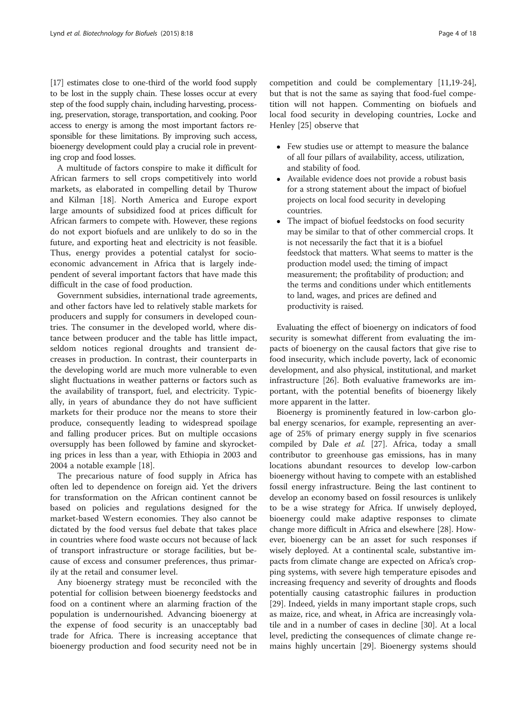[[17](#page-15-0)] estimates close to one-third of the world food supply to be lost in the supply chain. These losses occur at every step of the food supply chain, including harvesting, processing, preservation, storage, transportation, and cooking. Poor access to energy is among the most important factors responsible for these limitations. By improving such access, bioenergy development could play a crucial role in preventing crop and food losses.

A multitude of factors conspire to make it difficult for African farmers to sell crops competitively into world markets, as elaborated in compelling detail by Thurow and Kilman [\[18](#page-15-0)]. North America and Europe export large amounts of subsidized food at prices difficult for African farmers to compete with. However, these regions do not export biofuels and are unlikely to do so in the future, and exporting heat and electricity is not feasible. Thus, energy provides a potential catalyst for socioeconomic advancement in Africa that is largely independent of several important factors that have made this difficult in the case of food production.

Government subsidies, international trade agreements, and other factors have led to relatively stable markets for producers and supply for consumers in developed countries. The consumer in the developed world, where distance between producer and the table has little impact, seldom notices regional droughts and transient decreases in production. In contrast, their counterparts in the developing world are much more vulnerable to even slight fluctuations in weather patterns or factors such as the availability of transport, fuel, and electricity. Typically, in years of abundance they do not have sufficient markets for their produce nor the means to store their produce, consequently leading to widespread spoilage and falling producer prices. But on multiple occasions oversupply has been followed by famine and skyrocketing prices in less than a year, with Ethiopia in 2003 and 2004 a notable example [[18\]](#page-15-0).

The precarious nature of food supply in Africa has often led to dependence on foreign aid. Yet the drivers for transformation on the African continent cannot be based on policies and regulations designed for the market-based Western economies. They also cannot be dictated by the food versus fuel debate that takes place in countries where food waste occurs not because of lack of transport infrastructure or storage facilities, but because of excess and consumer preferences, thus primarily at the retail and consumer level.

Any bioenergy strategy must be reconciled with the potential for collision between bioenergy feedstocks and food on a continent where an alarming fraction of the population is undernourished. Advancing bioenergy at the expense of food security is an unacceptably bad trade for Africa. There is increasing acceptance that bioenergy production and food security need not be in

competition and could be complementary [\[11,19-24](#page-15-0)], but that is not the same as saying that food-fuel competition will not happen. Commenting on biofuels and local food security in developing countries, Locke and Henley [[25](#page-15-0)] observe that

- Few studies use or attempt to measure the balance of all four pillars of availability, access, utilization, and stability of food.
- Available evidence does not provide a robust basis for a strong statement about the impact of biofuel projects on local food security in developing countries.
- The impact of biofuel feedstocks on food security may be similar to that of other commercial crops. It is not necessarily the fact that it is a biofuel feedstock that matters. What seems to matter is the production model used; the timing of impact measurement; the profitability of production; and the terms and conditions under which entitlements to land, wages, and prices are defined and productivity is raised.

Evaluating the effect of bioenergy on indicators of food security is somewhat different from evaluating the impacts of bioenergy on the causal factors that give rise to food insecurity, which include poverty, lack of economic development, and also physical, institutional, and market infrastructure [\[26\]](#page-15-0). Both evaluative frameworks are important, with the potential benefits of bioenergy likely more apparent in the latter.

Bioenergy is prominently featured in low-carbon global energy scenarios, for example, representing an average of 25% of primary energy supply in five scenarios compiled by Dale et al. [[27\]](#page-15-0). Africa, today a small contributor to greenhouse gas emissions, has in many locations abundant resources to develop low-carbon bioenergy without having to compete with an established fossil energy infrastructure. Being the last continent to develop an economy based on fossil resources is unlikely to be a wise strategy for Africa. If unwisely deployed, bioenergy could make adaptive responses to climate change more difficult in Africa and elsewhere [\[28](#page-15-0)]. However, bioenergy can be an asset for such responses if wisely deployed. At a continental scale, substantive impacts from climate change are expected on Africa's cropping systems, with severe high temperature episodes and increasing frequency and severity of droughts and floods potentially causing catastrophic failures in production [[29\]](#page-15-0). Indeed, yields in many important staple crops, such as maize, rice, and wheat, in Africa are increasingly volatile and in a number of cases in decline [[30\]](#page-15-0). At a local level, predicting the consequences of climate change remains highly uncertain [[29\]](#page-15-0). Bioenergy systems should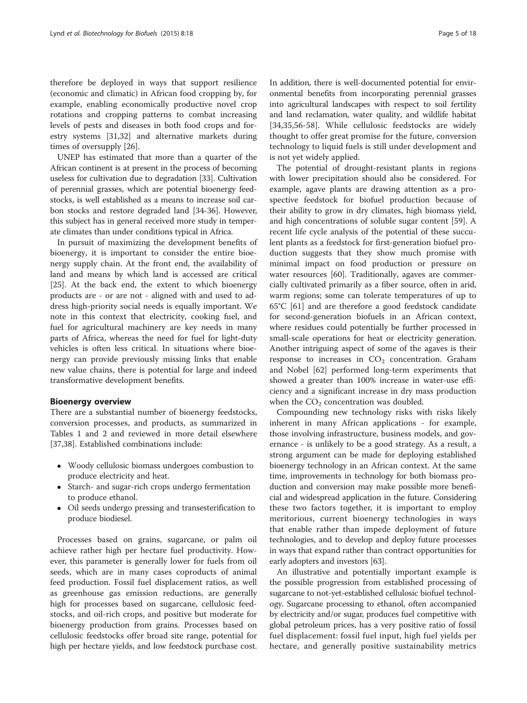therefore be deployed in ways that support resilience (economic and climatic) in African food cropping by, for example, enabling economically productive novel crop rotations and cropping patterns to combat increasing levels of pests and diseases in both food crops and forestry systems [\[31,32](#page-15-0)] and alternative markets during times of oversupply [[26\]](#page-15-0).

UNEP has estimated that more than a quarter of the African continent is at present in the process of becoming useless for cultivation due to degradation [\[33\]](#page-15-0). Cultivation of perennial grasses, which are potential bioenergy feedstocks, is well established as a means to increase soil carbon stocks and restore degraded land [\[34-36\]](#page-16-0). However, this subject has in general received more study in temperate climates than under conditions typical in Africa.

In pursuit of maximizing the development benefits of bioenergy, it is important to consider the entire bioenergy supply chain. At the front end, the availability of land and means by which land is accessed are critical [[25\]](#page-15-0). At the back end, the extent to which bioenergy products are - or are not - aligned with and used to address high-priority social needs is equally important. We note in this context that electricity, cooking fuel, and fuel for agricultural machinery are key needs in many parts of Africa, whereas the need for fuel for light-duty vehicles is often less critical. In situations where bioenergy can provide previously missing links that enable new value chains, there is potential for large and indeed transformative development benefits.

### Bioenergy overview

There are a substantial number of bioenergy feedstocks, conversion processes, and products, as summarized in Tables [1](#page-5-0) and [2](#page-5-0) and reviewed in more detail elsewhere [[37,38\]](#page-16-0). Established combinations include:

- Woody cellulosic biomass undergoes combustion to produce electricity and heat.
- Starch- and sugar-rich crops undergo fermentation to produce ethanol.
- Oil seeds undergo pressing and transesterification to produce biodiesel.

Processes based on grains, sugarcane, or palm oil achieve rather high per hectare fuel productivity. However, this parameter is generally lower for fuels from oil seeds, which are in many cases coproducts of animal feed production. Fossil fuel displacement ratios, as well as greenhouse gas emission reductions, are generally high for processes based on sugarcane, cellulosic feedstocks, and oil-rich crops, and positive but moderate for bioenergy production from grains. Processes based on cellulosic feedstocks offer broad site range, potential for high per hectare yields, and low feedstock purchase cost. In addition, there is well-documented potential for environmental benefits from incorporating perennial grasses into agricultural landscapes with respect to soil fertility and land reclamation, water quality, and wildlife habitat [[34,35,56-58](#page-16-0)]. While cellulosic feedstocks are widely thought to offer great promise for the future, conversion technology to liquid fuels is still under development and is not yet widely applied.

The potential of drought-resistant plants in regions with lower precipitation should also be considered. For example, agave plants are drawing attention as a prospective feedstock for biofuel production because of their ability to grow in dry climates, high biomass yield, and high concentrations of soluble sugar content [\[59](#page-16-0)]. A recent life cycle analysis of the potential of these succulent plants as a feedstock for first-generation biofuel production suggests that they show much promise with minimal impact on food production or pressure on water resources [[60\]](#page-16-0). Traditionally, agaves are commercially cultivated primarily as a fiber source, often in arid, warm regions; some can tolerate temperatures of up to 65°C [\[61\]](#page-16-0) and are therefore a good feedstock candidate for second-generation biofuels in an African context, where residues could potentially be further processed in small-scale operations for heat or electricity generation. Another intriguing aspect of some of the agaves is their response to increases in  $CO<sub>2</sub>$  concentration. Graham and Nobel [[62\]](#page-16-0) performed long-term experiments that showed a greater than 100% increase in water-use efficiency and a significant increase in dry mass production when the  $CO<sub>2</sub>$  concentration was doubled.

Compounding new technology risks with risks likely inherent in many African applications - for example, those involving infrastructure, business models, and governance - is unlikely to be a good strategy. As a result, a strong argument can be made for deploying established bioenergy technology in an African context. At the same time, improvements in technology for both biomass production and conversion may make possible more beneficial and widespread application in the future. Considering these two factors together, it is important to employ meritorious, current bioenergy technologies in ways that enable rather than impede deployment of future technologies, and to develop and deploy future processes in ways that expand rather than contract opportunities for early adopters and investors [\[63\]](#page-16-0).

An illustrative and potentially important example is the possible progression from established processing of sugarcane to not-yet-established cellulosic biofuel technology. Sugarcane processing to ethanol, often accompanied by electricity and/or sugar, produces fuel competitive with global petroleum prices, has a very positive ratio of fossil fuel displacement: fossil fuel input, high fuel yields per hectare, and generally positive sustainability metrics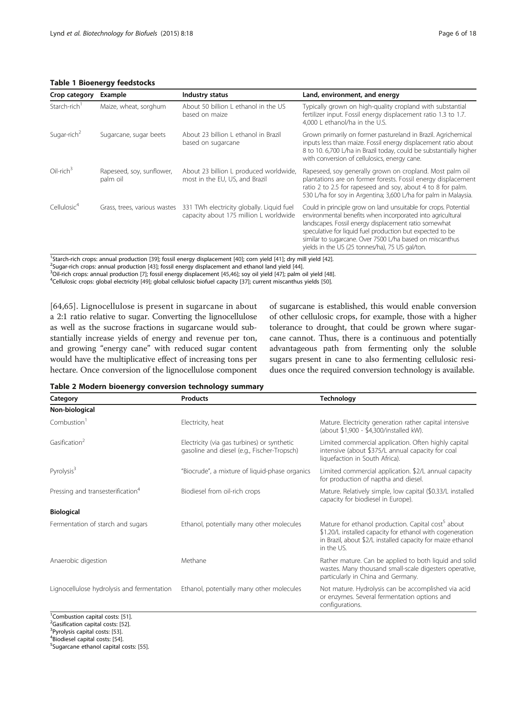<span id="page-5-0"></span>Table 1 Bioenergy feedstocks

| Crop category            | Example                               | Industry status                                                                     | Land, environment, and energy                                                                                                                                                                                                                                                                                                                                      |
|--------------------------|---------------------------------------|-------------------------------------------------------------------------------------|--------------------------------------------------------------------------------------------------------------------------------------------------------------------------------------------------------------------------------------------------------------------------------------------------------------------------------------------------------------------|
| Starch-rich <sup>1</sup> | Maize, wheat, sorghum                 | About 50 billion L ethanol in the US<br>based on maize                              | Typically grown on high-quality cropland with substantial<br>fertilizer input. Fossil energy displacement ratio 1.3 to 1.7.<br>4.000 L ethanol/ha in the U.S.                                                                                                                                                                                                      |
| Sugar-rich <sup>2</sup>  | Sugarcane, sugar beets                | About 23 billion L ethanol in Brazil<br>based on sugarcane                          | Grown primarily on former pastureland in Brazil. Agrichemical<br>inputs less than maize. Fossil energy displacement ratio about<br>8 to 10, 6,700 L/ha in Brazil today, could be substantially higher<br>with conversion of cellulosics, energy cane.                                                                                                              |
| $Oil$ -rich <sup>3</sup> | Rapeseed, soy, sunflower,<br>palm oil | About 23 billion L produced worldwide,<br>most in the EU, US, and Brazil            | Rapeseed, soy generally grown on cropland. Most palm oil<br>plantations are on former forests. Fossil energy displacement<br>ratio 2 to 2.5 for rapeseed and soy, about 4 to 8 for palm.<br>530 L/ha for soy in Argentina; 3,600 L/ha for palm in Malaysia.                                                                                                        |
| Cellulosic <sup>4</sup>  | Grass, trees, various wastes          | 331 TWh electricity globally. Liguid fuel<br>capacity about 175 million L worldwide | Could in principle grow on land unsuitable for crops. Potential<br>environmental benefits when incorporated into agricultural<br>landscapes. Fossil energy displacement ratio somewhat<br>speculative for liquid fuel production but expected to be<br>similar to sugarcane. Over 7500 L/ha based on miscanthus<br>yields in the US (25 tonnes/ha), 75 US gal/ton. |

<sup>1</sup>Starch-rich crops: annual production [[39\]](#page-16-0); fossil energy displacement [[40](#page-16-0)]; corn yield [[41\]](#page-16-0); dry mill yield [[42\]](#page-16-0).<br><sup>2</sup>Sugar-rich crops: annual production [43]; fossil energy displacement and ethanol land vield [44].

<sup>2</sup>Sugar-rich crops: annual production [\[43](#page-16-0)]; fossil energy displacement and ethanol land yield [[44\]](#page-16-0).

 $3$ Oil-rich crops: annual production [\[7\]](#page-15-0); fossil energy displacement [[45](#page-16-0),[46\]](#page-16-0); soy oil yield [\[47](#page-16-0)]; palm oil yield [[48\]](#page-16-0).

Cellulosic crops: global electricity [[49](#page-16-0)]; global cellulosic biofuel capacity [\[37](#page-16-0)]; current miscanthus yields [\[50](#page-16-0)].

[[64](#page-16-0),[65\]](#page-16-0). Lignocellulose is present in sugarcane in about a 2:1 ratio relative to sugar. Converting the lignocellulose as well as the sucrose fractions in sugarcane would substantially increase yields of energy and revenue per ton, and growing "energy cane" with reduced sugar content would have the multiplicative effect of increasing tons per hectare. Once conversion of the lignocellulose component

of sugarcane is established, this would enable conversion of other cellulosic crops, for example, those with a higher tolerance to drought, that could be grown where sugarcane cannot. Thus, there is a continuous and potentially advantageous path from fermenting only the soluble sugars present in cane to also fermenting cellulosic residues once the required conversion technology is available.

|  |  |  |  | Table 2 Modern bioenergy conversion technology summary |  |
|--|--|--|--|--------------------------------------------------------|--|
|--|--|--|--|--------------------------------------------------------|--|

| Category                                      | <b>Products</b>                                                                            | <b>Technology</b>                                                                                                                                                                                        |  |  |
|-----------------------------------------------|--------------------------------------------------------------------------------------------|----------------------------------------------------------------------------------------------------------------------------------------------------------------------------------------------------------|--|--|
| Non-biological                                |                                                                                            |                                                                                                                                                                                                          |  |  |
| Combustion <sup>1</sup>                       | Electricity, heat                                                                          | Mature. Electricity generation rather capital intensive<br>(about \$1,900 - \$4,300/installed kW).                                                                                                       |  |  |
| Gasification <sup>2</sup>                     | Electricity (via gas turbines) or synthetic<br>gasoline and diesel (e.g., Fischer-Tropsch) | Limited commercial application. Often highly capital<br>intensive (about \$375/L annual capacity for coal<br>liquefaction in South Africa).                                                              |  |  |
| Pyrolysis <sup>3</sup>                        | "Biocrude", a mixture of liquid-phase organics                                             | Limited commercial application. \$2/L annual capacity<br>for production of naptha and diesel.                                                                                                            |  |  |
| Pressing and transesterification <sup>4</sup> | Biodiesel from oil-rich crops                                                              | Mature. Relatively simple, low capital (\$0.33/L installed<br>capacity for biodiesel in Europe).                                                                                                         |  |  |
| <b>Biological</b>                             |                                                                                            |                                                                                                                                                                                                          |  |  |
| Fermentation of starch and sugars             | Ethanol, potentially many other molecules                                                  | Mature for ethanol production. Capital cost <sup>5</sup> about<br>\$1.20/L installed capacity for ethanol with cogeneration<br>in Brazil, about \$2/L installed capacity for maize ethanol<br>in the US. |  |  |
| Anaerobic digestion                           | Methane                                                                                    | Rather mature. Can be applied to both liquid and solid<br>wastes. Many thousand small-scale digesters operative,<br>particularly in China and Germany.                                                   |  |  |
| Lignocellulose hydrolysis and fermentation    | Ethanol, potentially many other molecules                                                  | Not mature. Hydrolysis can be accomplished via acid<br>or enzymes. Several fermentation options and<br>configurations.                                                                                   |  |  |

 $\frac{1}{2}$ Combustion capital costs: [[51\]](#page-16-0).<br> $\frac{2}{5}$ Casification capital costs: [52]

<sup>2</sup>Gasification capital costs: [\[52](#page-16-0)].

<sup>3</sup>Pyrolysis capital costs: [\[53](#page-16-0)].

<sup>4</sup>Biodiesel capital costs: [\[54](#page-16-0)].

<sup>5</sup>Sugarcane ethanol capital costs: [\[55](#page-16-0)].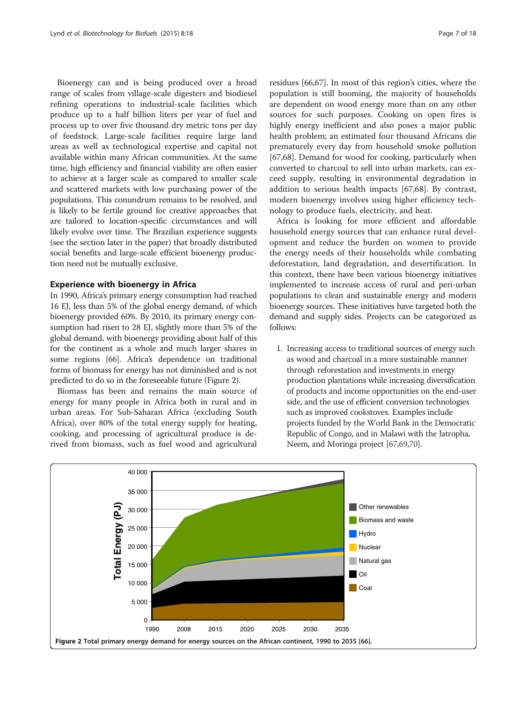<span id="page-6-0"></span>Bioenergy can and is being produced over a broad range of scales from village-scale digesters and biodiesel refining operations to industrial-scale facilities which produce up to a half billion liters per year of fuel and process up to over five thousand dry metric tons per day of feedstock. Large-scale facilities require large land areas as well as technological expertise and capital not available within many African communities. At the same time, high efficiency and financial viability are often easier to achieve at a larger scale as compared to smaller scale and scattered markets with low purchasing power of the populations. This conundrum remains to be resolved, and is likely to be fertile ground for creative approaches that are tailored to location-specific circumstances and will likely evolve over time. The Brazilian experience suggests (see the section later in the paper) that broadly distributed social benefits and large-scale efficient bioenergy production need not be mutually exclusive.

# Experience with bioenergy in Africa

In 1990, Africa's primary energy consumption had reached 16 EJ, less than 5% of the global energy demand, of which bioenergy provided 60%. By 2010, its primary energy consumption had risen to 28 EJ, slightly more than 5% of the global demand, with bioenergy providing about half of this for the continent as a whole and much larger shares in some regions [\[66](#page-16-0)]. Africa's dependence on traditional forms of biomass for energy has not diminished and is not predicted to do so in the foreseeable future (Figure 2).

Biomass has been and remains the main source of energy for many people in Africa both in rural and in urban areas. For Sub-Saharan Africa (excluding South Africa), over 80% of the total energy supply for heating, cooking, and processing of agricultural produce is derived from biomass, such as fuel wood and agricultural

residues [[66,67\]](#page-16-0). In most of this region's cities, where the population is still booming, the majority of households are dependent on wood energy more than on any other sources for such purposes. Cooking on open fires is highly energy inefficient and also poses a major public health problem; an estimated four thousand Africans die prematurely every day from household smoke pollution [[67,68\]](#page-16-0). Demand for wood for cooking, particularly when converted to charcoal to sell into urban markets, can exceed supply, resulting in environmental degradation in addition to serious health impacts [\[67,68\]](#page-16-0). By contrast, modern bioenergy involves using higher efficiency technology to produce fuels, electricity, and heat.

Africa is looking for more efficient and affordable household energy sources that can enhance rural development and reduce the burden on women to provide the energy needs of their households while combating deforestation, land degradation, and desertification. In this context, there have been various bioenergy initiatives implemented to increase access of rural and peri-urban populations to clean and sustainable energy and modern bioenergy sources. These initiatives have targeted both the demand and supply sides. Projects can be categorized as follows:

1. Increasing access to traditional sources of energy such as wood and charcoal in a more sustainable manner through reforestation and investments in energy production plantations while increasing diversification of products and income opportunities on the end-user side, and the use of efficient conversion technologies such as improved cookstoves. Examples include projects funded by the World Bank in the Democratic Republic of Congo, and in Malawi with the Jatropha, Neem, and Moringa project [[67,69,70](#page-16-0)].

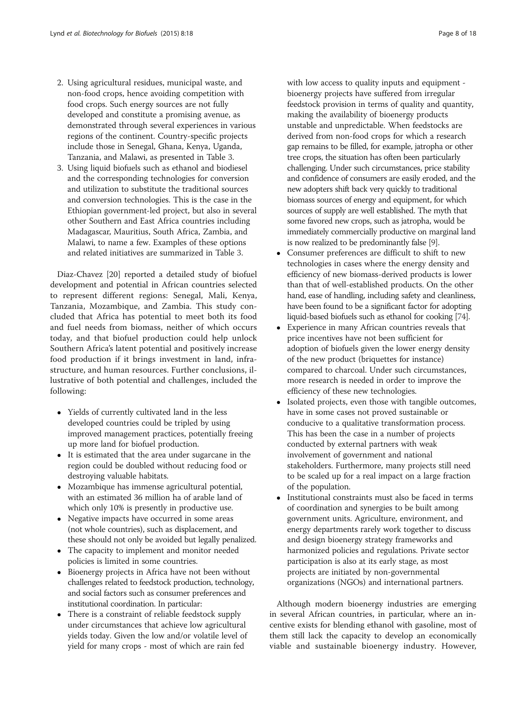- 2. Using agricultural residues, municipal waste, and non-food crops, hence avoiding competition with food crops. Such energy sources are not fully developed and constitute a promising avenue, as demonstrated through several experiences in various regions of the continent. Country-specific projects include those in Senegal, Ghana, Kenya, Uganda, Tanzania, and Malawi, as presented in Table [3.](#page-8-0)
- 3. Using liquid biofuels such as ethanol and biodiesel and the corresponding technologies for conversion and utilization to substitute the traditional sources and conversion technologies. This is the case in the Ethiopian government-led project, but also in several other Southern and East Africa countries including Madagascar, Mauritius, South Africa, Zambia, and Malawi, to name a few. Examples of these options and related initiatives are summarized in Table [3.](#page-8-0)

Diaz-Chavez [\[20](#page-15-0)] reported a detailed study of biofuel development and potential in African countries selected to represent different regions: Senegal, Mali, Kenya, Tanzania, Mozambique, and Zambia. This study concluded that Africa has potential to meet both its food and fuel needs from biomass, neither of which occurs today, and that biofuel production could help unlock Southern Africa's latent potential and positively increase food production if it brings investment in land, infrastructure, and human resources. Further conclusions, illustrative of both potential and challenges, included the following:

- Yields of currently cultivated land in the less developed countries could be tripled by using improved management practices, potentially freeing up more land for biofuel production.
- It is estimated that the area under sugarcane in the region could be doubled without reducing food or destroying valuable habitats.
- Mozambique has immense agricultural potential, with an estimated 36 million ha of arable land of which only 10% is presently in productive use.
- Negative impacts have occurred in some areas (not whole countries), such as displacement, and these should not only be avoided but legally penalized.
- The capacity to implement and monitor needed policies is limited in some countries.
- Bioenergy projects in Africa have not been without challenges related to feedstock production, technology, and social factors such as consumer preferences and institutional coordination. In particular:
- There is a constraint of reliable feedstock supply under circumstances that achieve low agricultural yields today. Given the low and/or volatile level of yield for many crops - most of which are rain fed

with low access to quality inputs and equipment bioenergy projects have suffered from irregular feedstock provision in terms of quality and quantity, making the availability of bioenergy products unstable and unpredictable. When feedstocks are derived from non-food crops for which a research gap remains to be filled, for example, jatropha or other tree crops, the situation has often been particularly challenging. Under such circumstances, price stability and confidence of consumers are easily eroded, and the new adopters shift back very quickly to traditional biomass sources of energy and equipment, for which sources of supply are well established. The myth that some favored new crops, such as jatropha, would be immediately commercially productive on marginal land is now realized to be predominantly false [\[9](#page-15-0)].

- Consumer preferences are difficult to shift to new technologies in cases where the energy density and efficiency of new biomass-derived products is lower than that of well-established products. On the other hand, ease of handling, including safety and cleanliness, have been found to be a significant factor for adopting liquid-based biofuels such as ethanol for cooking [\[74\]](#page-16-0).
- Experience in many African countries reveals that price incentives have not been sufficient for adoption of biofuels given the lower energy density of the new product (briquettes for instance) compared to charcoal. Under such circumstances, more research is needed in order to improve the efficiency of these new technologies.
- Isolated projects, even those with tangible outcomes, have in some cases not proved sustainable or conducive to a qualitative transformation process. This has been the case in a number of projects conducted by external partners with weak involvement of government and national stakeholders. Furthermore, many projects still need to be scaled up for a real impact on a large fraction of the population.
- Institutional constraints must also be faced in terms of coordination and synergies to be built among government units. Agriculture, environment, and energy departments rarely work together to discuss and design bioenergy strategy frameworks and harmonized policies and regulations. Private sector participation is also at its early stage, as most projects are initiated by non-governmental organizations (NGOs) and international partners.

Although modern bioenergy industries are emerging in several African countries, in particular, where an incentive exists for blending ethanol with gasoline, most of them still lack the capacity to develop an economically viable and sustainable bioenergy industry. However,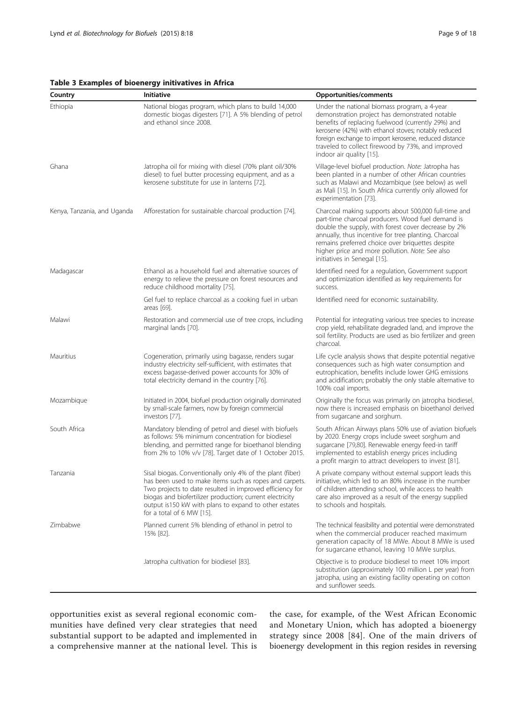# <span id="page-8-0"></span>Table 3 Examples of bioenergy initivatives in Africa

| Country                     | Initiative                                                                                                                                                                                                                                                                                                                        | Opportunities/comments                                                                                                                                                                                                                                                                                                                                          |
|-----------------------------|-----------------------------------------------------------------------------------------------------------------------------------------------------------------------------------------------------------------------------------------------------------------------------------------------------------------------------------|-----------------------------------------------------------------------------------------------------------------------------------------------------------------------------------------------------------------------------------------------------------------------------------------------------------------------------------------------------------------|
| Ethiopia                    | National biogas program, which plans to build 14,000<br>domestic biogas digesters [71]. A 5% blending of petrol<br>and ethanol since 2008.                                                                                                                                                                                        | Under the national biomass program, a 4-year<br>demonstration project has demonstrated notable<br>benefits of replacing fuelwood (currently 29%) and<br>kerosene (42%) with ethanol stoves; notably reduced<br>foreign exchange to import kerosene, reduced distance<br>traveled to collect firewood by 73%, and improved<br>indoor air quality [15].           |
| Ghana                       | Jatropha oil for mixing with diesel (70% plant oil/30%<br>diesel) to fuel butter processing equipment, and as a<br>kerosene substitute for use in lanterns [72].                                                                                                                                                                  | Village-level biofuel production. Note: Jatropha has<br>been planted in a number of other African countries<br>such as Malawi and Mozambique (see below) as well<br>as Mali [15]. In South Africa currently only allowed for<br>experimentation [73].                                                                                                           |
| Kenya, Tanzania, and Uganda | Afforestation for sustainable charcoal production [74].                                                                                                                                                                                                                                                                           | Charcoal making supports about 500,000 full-time and<br>part-time charcoal producers. Wood fuel demand is<br>double the supply, with forest cover decrease by 2%<br>annually, thus incentive for tree planting. Charcoal<br>remains preferred choice over briquettes despite<br>higher price and more pollution. Note: See also<br>initiatives in Senegal [15]. |
| Madagascar                  | Ethanol as a household fuel and alternative sources of<br>energy to relieve the pressure on forest resources and<br>reduce childhood mortality [75].                                                                                                                                                                              | Identified need for a regulation, Government support<br>and optimization identified as key requirements for<br>success.                                                                                                                                                                                                                                         |
|                             | Gel fuel to replace charcoal as a cooking fuel in urban<br>areas [69].                                                                                                                                                                                                                                                            | Identified need for economic sustainability.                                                                                                                                                                                                                                                                                                                    |
| Malawi                      | Restoration and commercial use of tree crops, including<br>marginal lands [70].                                                                                                                                                                                                                                                   | Potential for integrating various tree species to increase<br>crop yield, rehabilitate degraded land, and improve the<br>soil fertility. Products are used as bio fertilizer and green<br>charcoal.                                                                                                                                                             |
| Mauritius                   | Cogeneration, primarily using bagasse, renders sugar<br>industry electricity self-sufficient, with estimates that<br>excess bagasse-derived power accounts for 30% of<br>total electricity demand in the country [76].                                                                                                            | Life cycle analysis shows that despite potential negative<br>consequences such as high water consumption and<br>eutrophication, benefits include lower GHG emissions<br>and acidification; probably the only stable alternative to<br>100% coal imports.                                                                                                        |
| Mozambique                  | Initiated in 2004, biofuel production originally dominated<br>by small-scale farmers, now by foreign commercial<br>investors [77].                                                                                                                                                                                                | Originally the focus was primarily on jatropha biodiesel,<br>now there is increased emphasis on bioethanol derived<br>from sugarcane and sorghum.                                                                                                                                                                                                               |
| South Africa                | Mandatory blending of petrol and diesel with biofuels<br>as follows: 5% minimum concentration for biodiesel<br>blending, and permitted range for bioethanol blending<br>from 2% to 10% v/v [78]. Target date of 1 October 2015.                                                                                                   | South African Airways plans 50% use of aviation biofuels<br>by 2020. Energy crops include sweet sorghum and<br>sugarcane [79,80]. Renewable energy feed-in tariff<br>implemented to establish energy prices including<br>a profit margin to attract developers to invest [81].                                                                                  |
| Tanzania                    | Sisal biogas. Conventionally only 4% of the plant (fiber)<br>has been used to make items such as ropes and carpets.<br>Two projects to date resulted in improved efficiency for<br>biogas and biofertilizer production; current electricity<br>output is150 kW with plans to expand to other estates<br>for a total of 6 MW [15]. | A private company without external support leads this<br>initiative, which led to an 80% increase in the number<br>of children attending school, while access to health<br>care also improved as a result of the energy supplied<br>to schools and hospitals.                                                                                                   |
| Zimbabwe                    | Planned current 5% blending of ethanol in petrol to<br>15% [82].                                                                                                                                                                                                                                                                  | The technical feasibility and potential were demonstrated<br>when the commercial producer reached maximum<br>generation capacity of 18 MWe. About 8 MWe is used<br>for sugarcane ethanol, leaving 10 MWe surplus.                                                                                                                                               |
|                             | Jatropha cultivation for biodiesel [83].                                                                                                                                                                                                                                                                                          | Objective is to produce biodiesel to meet 10% import<br>substitution (approximately 100 million L per year) from<br>jatropha, using an existing facility operating on cotton<br>and sunflower seeds.                                                                                                                                                            |

opportunities exist as several regional economic communities have defined very clear strategies that need substantial support to be adapted and implemented in a comprehensive manner at the national level. This is the case, for example, of the West African Economic and Monetary Union, which has adopted a bioenergy strategy since 2008 [[84](#page-17-0)]. One of the main drivers of bioenergy development in this region resides in reversing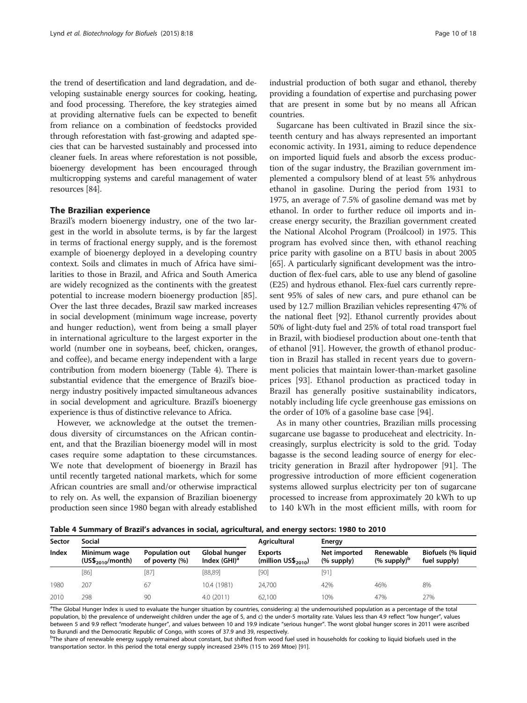the trend of desertification and land degradation, and developing sustainable energy sources for cooking, heating, and food processing. Therefore, the key strategies aimed at providing alternative fuels can be expected to benefit from reliance on a combination of feedstocks provided through reforestation with fast-growing and adapted species that can be harvested sustainably and processed into cleaner fuels. In areas where reforestation is not possible, bioenergy development has been encouraged through multicropping systems and careful management of water resources [\[84\]](#page-17-0).

# The Brazilian experience

Brazil's modern bioenergy industry, one of the two largest in the world in absolute terms, is by far the largest in terms of fractional energy supply, and is the foremost example of bioenergy deployed in a developing country context. Soils and climates in much of Africa have similarities to those in Brazil, and Africa and South America are widely recognized as the continents with the greatest potential to increase modern bioenergy production [\[85](#page-17-0)]. Over the last three decades, Brazil saw marked increases in social development (minimum wage increase, poverty and hunger reduction), went from being a small player in international agriculture to the largest exporter in the world (number one in soybeans, beef, chicken, oranges, and coffee), and became energy independent with a large contribution from modern bioenergy (Table 4). There is substantial evidence that the emergence of Brazil's bioenergy industry positively impacted simultaneous advances in social development and agriculture. Brazil's bioenergy experience is thus of distinctive relevance to Africa.

However, we acknowledge at the outset the tremendous diversity of circumstances on the African continent, and that the Brazilian bioenergy model will in most cases require some adaptation to these circumstances. We note that development of bioenergy in Brazil has until recently targeted national markets, which for some African countries are small and/or otherwise impractical to rely on. As well, the expansion of Brazilian bioenergy production seen since 1980 began with already established industrial production of both sugar and ethanol, thereby providing a foundation of expertise and purchasing power that are present in some but by no means all African countries.

Sugarcane has been cultivated in Brazil since the sixteenth century and has always represented an important economic activity. In 1931, aiming to reduce dependence on imported liquid fuels and absorb the excess production of the sugar industry, the Brazilian government implemented a compulsory blend of at least 5% anhydrous ethanol in gasoline. During the period from 1931 to 1975, an average of 7.5% of gasoline demand was met by ethanol. In order to further reduce oil imports and increase energy security, the Brazilian government created the National Alcohol Program (Proálcool) in 1975. This program has evolved since then, with ethanol reaching price parity with gasoline on a BTU basis in about 2005 [[65](#page-16-0)]. A particularly significant development was the introduction of flex-fuel cars, able to use any blend of gasoline (E25) and hydrous ethanol. Flex-fuel cars currently represent 95% of sales of new cars, and pure ethanol can be used by 12.7 million Brazilian vehicles representing 47% of the national fleet [[92](#page-17-0)]. Ethanol currently provides about 50% of light-duty fuel and 25% of total road transport fuel in Brazil, with biodiesel production about one-tenth that of ethanol [[91\]](#page-17-0). However, the growth of ethanol production in Brazil has stalled in recent years due to government policies that maintain lower-than-market gasoline prices [[93\]](#page-17-0). Ethanol production as practiced today in Brazil has generally positive sustainability indicators, notably including life cycle greenhouse gas emissions on the order of 10% of a gasoline base case [[94\]](#page-17-0).

As in many other countries, Brazilian mills processing sugarcane use bagasse to produceheat and electricity. Increasingly, surplus electricity is sold to the grid. Today bagasse is the second leading source of energy for electricity generation in Brazil after hydropower [[91](#page-17-0)]. The progressive introduction of more efficient cogeneration systems allowed surplus electricity per ton of sugarcane processed to increase from approximately 20 kWh to up to 140 kWh in the most efficient mills, with room for

Table 4 Summary of Brazil's advances in social, agricultural, and energy sectors: 1980 to 2010

| Sector | Social                                |                                         |                                 | Agricultural                                       | Energy                                      |                                  |                                    |
|--------|---------------------------------------|-----------------------------------------|---------------------------------|----------------------------------------------------|---------------------------------------------|----------------------------------|------------------------------------|
| Index  | Minimum wage<br>$(US\$_{2010}/month)$ | <b>Population out</b><br>of poverty (%) | Global hunger<br>Index $(GHI)a$ | <b>Exports</b><br>(million $US\$ <sub>2010</sub> ) | Net imported<br>$(% \mathbf{A})$ (% supply) | Renewable<br>$(%$ supply $)^{b}$ | Biofuels (% liquid<br>fuel supply) |
|        | [86]                                  | [87]                                    | [88, 89]                        | [90]                                               | [91]                                        |                                  |                                    |
| 1980   | 207                                   | 67                                      | 10.4 (1981)                     | 24.700                                             | 42%                                         | 46%                              | 8%                                 |
| 2010   | 298                                   | 90                                      | 4.0(2011)                       | 62.100                                             | 10%                                         | 47%                              | 27%                                |

<sup>a</sup>The Global Hunger Index is used to evaluate the hunger situation by countries, considering: a) the undernourished population as a percentage of the total population, b) the prevalence of underweight children under the age of 5, and c) the under-5 mortality rate. Values less than 4.9 reflect "low hunger", values between 5 and 9.9 reflect "moderate hunger", and values between 10 and 19.9 indicate "serious hunger". The worst global hunger scores in 2011 were ascribed to Burundi and the Democratic Republic of Congo, with scores of 37.9 and 39, respectively.

b<br>The share of renewable energy supply remained about constant, but shifted from wood fuel used in households for cooking to liquid biofuels used in the transportation sector. In this period the total energy supply increased 234% (115 to 269 Mtoe) [[91\]](#page-17-0).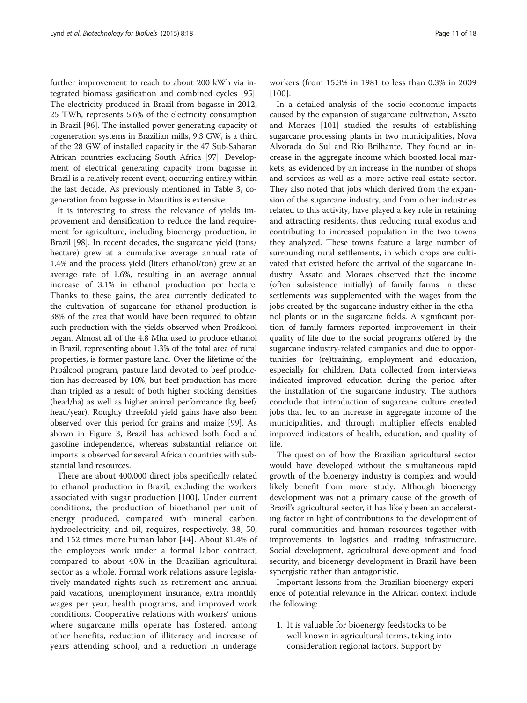further improvement to reach to about 200 kWh via integrated biomass gasification and combined cycles [\[95](#page-17-0)]. The electricity produced in Brazil from bagasse in 2012, 25 TWh, represents 5.6% of the electricity consumption in Brazil [\[96](#page-17-0)]. The installed power generating capacity of cogeneration systems in Brazilian mills, 9.3 GW, is a third of the 28 GW of installed capacity in the 47 Sub-Saharan African countries excluding South Africa [\[97\]](#page-17-0). Development of electrical generating capacity from bagasse in Brazil is a relatively recent event, occurring entirely within the last decade. As previously mentioned in Table [3,](#page-8-0) cogeneration from bagasse in Mauritius is extensive.

It is interesting to stress the relevance of yields improvement and densification to reduce the land requirement for agriculture, including bioenergy production, in Brazil [[98](#page-17-0)]. In recent decades, the sugarcane yield (tons/ hectare) grew at a cumulative average annual rate of 1.4% and the process yield (liters ethanol/ton) grew at an average rate of 1.6%, resulting in an average annual increase of 3.1% in ethanol production per hectare. Thanks to these gains, the area currently dedicated to the cultivation of sugarcane for ethanol production is 38% of the area that would have been required to obtain such production with the yields observed when Proálcool began. Almost all of the 4.8 Mha used to produce ethanol in Brazil, representing about 1.3% of the total area of rural properties, is former pasture land. Over the lifetime of the Proálcool program, pasture land devoted to beef production has decreased by 10%, but beef production has more than tripled as a result of both higher stocking densities (head/ha) as well as higher animal performance (kg beef/ head/year). Roughly threefold yield gains have also been observed over this period for grains and maize [[99](#page-17-0)]. As shown in Figure [3](#page-11-0), Brazil has achieved both food and gasoline independence, whereas substantial reliance on imports is observed for several African countries with substantial land resources.

There are about 400,000 direct jobs specifically related to ethanol production in Brazil, excluding the workers associated with sugar production [[100](#page-17-0)]. Under current conditions, the production of bioethanol per unit of energy produced, compared with mineral carbon, hydroelectricity, and oil, requires, respectively, 38, 50, and 152 times more human labor [[44](#page-16-0)]. About 81.4% of the employees work under a formal labor contract, compared to about 40% in the Brazilian agricultural sector as a whole. Formal work relations assure legislatively mandated rights such as retirement and annual paid vacations, unemployment insurance, extra monthly wages per year, health programs, and improved work conditions. Cooperative relations with workers' unions where sugarcane mills operate has fostered, among other benefits, reduction of illiteracy and increase of years attending school, and a reduction in underage

workers (from 15.3% in 1981 to less than 0.3% in 2009 [[100](#page-17-0)].

In a detailed analysis of the socio-economic impacts caused by the expansion of sugarcane cultivation, Assato and Moraes [\[101](#page-17-0)] studied the results of establishing sugarcane processing plants in two municipalities, Nova Alvorada do Sul and Rio Brilhante. They found an increase in the aggregate income which boosted local markets, as evidenced by an increase in the number of shops and services as well as a more active real estate sector. They also noted that jobs which derived from the expansion of the sugarcane industry, and from other industries related to this activity, have played a key role in retaining and attracting residents, thus reducing rural exodus and contributing to increased population in the two towns they analyzed. These towns feature a large number of surrounding rural settlements, in which crops are cultivated that existed before the arrival of the sugarcane industry. Assato and Moraes observed that the income (often subsistence initially) of family farms in these settlements was supplemented with the wages from the jobs created by the sugarcane industry either in the ethanol plants or in the sugarcane fields. A significant portion of family farmers reported improvement in their quality of life due to the social programs offered by the sugarcane industry-related companies and due to opportunities for (re)training, employment and education, especially for children. Data collected from interviews indicated improved education during the period after the installation of the sugarcane industry. The authors conclude that introduction of sugarcane culture created jobs that led to an increase in aggregate income of the municipalities, and through multiplier effects enabled improved indicators of health, education, and quality of life.

The question of how the Brazilian agricultural sector would have developed without the simultaneous rapid growth of the bioenergy industry is complex and would likely benefit from more study. Although bioenergy development was not a primary cause of the growth of Brazil's agricultural sector, it has likely been an accelerating factor in light of contributions to the development of rural communities and human resources together with improvements in logistics and trading infrastructure. Social development, agricultural development and food security, and bioenergy development in Brazil have been synergistic rather than antagonistic.

Important lessons from the Brazilian bioenergy experience of potential relevance in the African context include the following:

1. It is valuable for bioenergy feedstocks to be well known in agricultural terms, taking into consideration regional factors. Support by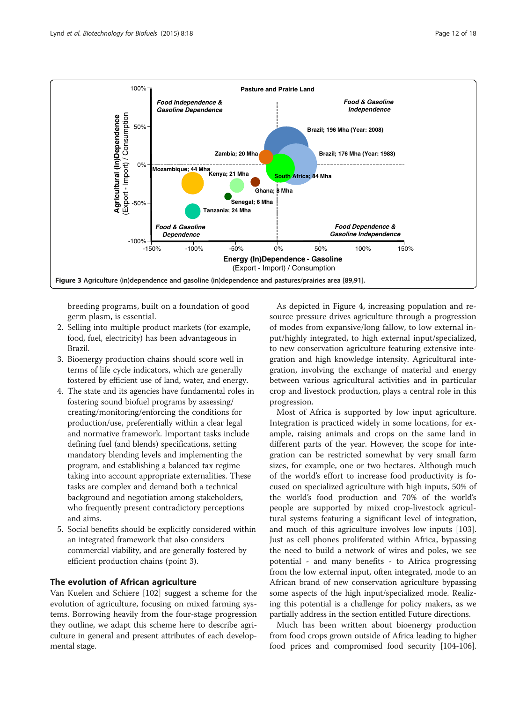<span id="page-11-0"></span>

breeding programs, built on a foundation of good germ plasm, is essential.

- 2. Selling into multiple product markets (for example, food, fuel, electricity) has been advantageous in Brazil.
- 3. Bioenergy production chains should score well in terms of life cycle indicators, which are generally fostered by efficient use of land, water, and energy.
- 4. The state and its agencies have fundamental roles in fostering sound biofuel programs by assessing/ creating/monitoring/enforcing the conditions for production/use, preferentially within a clear legal and normative framework. Important tasks include defining fuel (and blends) specifications, setting mandatory blending levels and implementing the program, and establishing a balanced tax regime taking into account appropriate externalities. These tasks are complex and demand both a technical background and negotiation among stakeholders, who frequently present contradictory perceptions and aims.
- 5. Social benefits should be explicitly considered within an integrated framework that also considers commercial viability, and are generally fostered by efficient production chains (point 3).

# The evolution of African agriculture

Van Kuelen and Schiere [\[102](#page-17-0)] suggest a scheme for the evolution of agriculture, focusing on mixed farming systems. Borrowing heavily from the four-stage progression they outline, we adapt this scheme here to describe agriculture in general and present attributes of each developmental stage.

As depicted in Figure [4,](#page-12-0) increasing population and resource pressure drives agriculture through a progression of modes from expansive/long fallow, to low external input/highly integrated, to high external input/specialized, to new conservation agriculture featuring extensive integration and high knowledge intensity. Agricultural integration, involving the exchange of material and energy between various agricultural activities and in particular crop and livestock production, plays a central role in this progression.

Most of Africa is supported by low input agriculture. Integration is practiced widely in some locations, for example, raising animals and crops on the same land in different parts of the year. However, the scope for integration can be restricted somewhat by very small farm sizes, for example, one or two hectares. Although much of the world's effort to increase food productivity is focused on specialized agriculture with high inputs, 50% of the world's food production and 70% of the world's people are supported by mixed crop-livestock agricultural systems featuring a significant level of integration, and much of this agriculture involves low inputs [[103](#page-17-0)]. Just as cell phones proliferated within Africa, bypassing the need to build a network of wires and poles, we see potential - and many benefits - to Africa progressing from the low external input, often integrated, mode to an African brand of new conservation agriculture bypassing some aspects of the high input/specialized mode. Realizing this potential is a challenge for policy makers, as we partially address in the section entitled [Future directions](#page-12-0).

Much has been written about bioenergy production from food crops grown outside of Africa leading to higher food prices and compromised food security [\[104-106](#page-17-0)].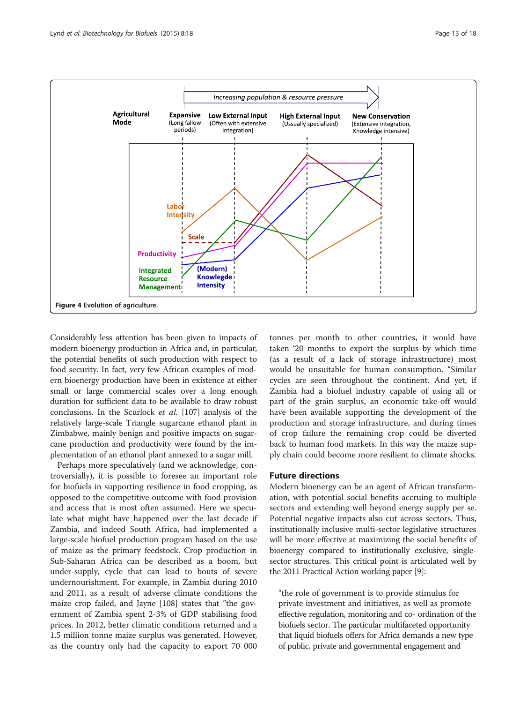<span id="page-12-0"></span>

Considerably less attention has been given to impacts of modern bioenergy production in Africa and, in particular, the potential benefits of such production with respect to food security. In fact, very few African examples of modern bioenergy production have been in existence at either small or large commercial scales over a long enough duration for sufficient data to be available to draw robust conclusions. In the Scurlock et al. [[107](#page-17-0)] analysis of the relatively large-scale Triangle sugarcane ethanol plant in Zimbabwe, mainly benign and positive impacts on sugarcane production and productivity were found by the implementation of an ethanol plant annexed to a sugar mill.

Perhaps more speculatively (and we acknowledge, controversially), it is possible to foresee an important role for biofuels in supporting resilience in food cropping, as opposed to the competitive outcome with food provision and access that is most often assumed. Here we speculate what might have happened over the last decade if Zambia, and indeed South Africa, had implemented a large-scale biofuel production program based on the use of maize as the primary feedstock. Crop production in Sub-Saharan Africa can be described as a boom, but under-supply, cycle that can lead to bouts of severe undernourishment. For example, in Zambia during 2010 and 2011, as a result of adverse climate conditions the maize crop failed, and Jayne [\[108\]](#page-17-0) states that "the government of Zambia spent 2-3% of GDP stabilising food prices. In 2012, better climatic conditions returned and a 1.5 million tonne maize surplus was generated. However, as the country only had the capacity to export 70 000

tonnes per month to other countries, it would have taken '20 months to export the surplus by which time (as a result of a lack of storage infrastructure) most would be unsuitable for human consumption. "Similar cycles are seen throughout the continent. And yet, if Zambia had a biofuel industry capable of using all or part of the grain surplus, an economic take-off would have been available supporting the development of the production and storage infrastructure, and during times of crop failure the remaining crop could be diverted back to human food markets. In this way the maize supply chain could become more resilient to climate shocks.

# Future directions

Modern bioenergy can be an agent of African transformation, with potential social benefits accruing to multiple sectors and extending well beyond energy supply per se. Potential negative impacts also cut across sectors. Thus, institutionally inclusive multi-sector legislative structures will be more effective at maximizing the social benefits of bioenergy compared to institutionally exclusive, singlesector structures. This critical point is articulated well by the 2011 Practical Action working paper [[9](#page-15-0)]:

"the role of government is to provide stimulus for private investment and initiatives, as well as promote effective regulation, monitoring and co- ordination of the biofuels sector. The particular multifaceted opportunity that liquid biofuels offers for Africa demands a new type of public, private and governmental engagement and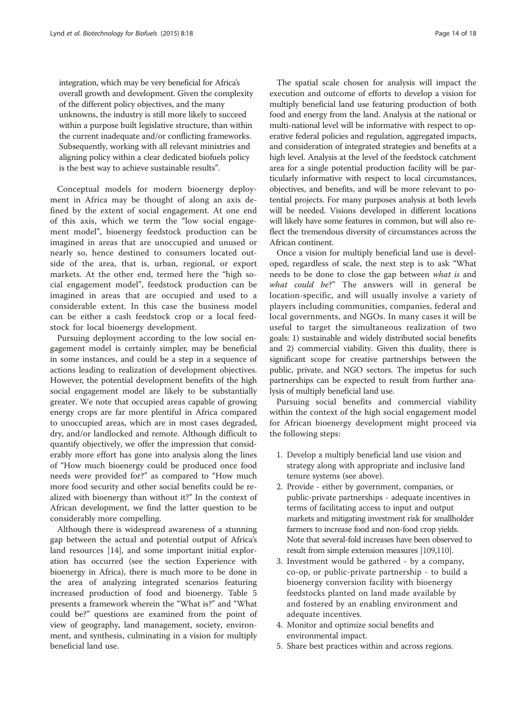integration, which may be very beneficial for Africa's overall growth and development. Given the complexity of the different policy objectives, and the many unknowns, the industry is still more likely to succeed within a purpose built legislative structure, than within the current inadequate and/or conflicting frameworks. Subsequently, working with all relevant ministries and aligning policy within a clear dedicated biofuels policy is the best way to achieve sustainable results".

Conceptual models for modern bioenergy deployment in Africa may be thought of along an axis defined by the extent of social engagement. At one end of this axis, which we term the "low social engagement model", bioenergy feedstock production can be imagined in areas that are unoccupied and unused or nearly so, hence destined to consumers located outside of the area, that is, urban, regional, or export markets. At the other end, termed here the "high social engagement model", feedstock production can be imagined in areas that are occupied and used to a considerable extent. In this case the business model can be either a cash feedstock crop or a local feedstock for local bioenergy development.

Pursuing deployment according to the low social engagement model is certainly simpler, may be beneficial in some instances, and could be a step in a sequence of actions leading to realization of development objectives. However, the potential development benefits of the high social engagement model are likely to be substantially greater. We note that occupied areas capable of growing energy crops are far more plentiful in Africa compared to unoccupied areas, which are in most cases degraded, dry, and/or landlocked and remote. Although difficult to quantify objectively, we offer the impression that considerably more effort has gone into analysis along the lines of "How much bioenergy could be produced once food needs were provided for?" as compared to "How much more food security and other social benefits could be realized with bioenergy than without it?" In the context of African development, we find the latter question to be considerably more compelling.

Although there is widespread awareness of a stunning gap between the actual and potential output of Africa's land resources [\[14](#page-15-0)], and some important initial exploration has occurred (see the section [Experience with](#page-6-0) [bioenergy in Africa\)](#page-6-0), there is much more to be done in the area of analyzing integrated scenarios featuring increased production of food and bioenergy. Table [5](#page-14-0) presents a framework wherein the "What is?" and "What could be?" questions are examined from the point of view of geography, land management, society, environment, and synthesis, culminating in a vision for multiply beneficial land use.

The spatial scale chosen for analysis will impact the execution and outcome of efforts to develop a vision for multiply beneficial land use featuring production of both food and energy from the land. Analysis at the national or multi-national level will be informative with respect to operative federal policies and regulation, aggregated impacts, and consideration of integrated strategies and benefits at a high level. Analysis at the level of the feedstock catchment area for a single potential production facility will be particularly informative with respect to local circumstances, objectives, and benefits, and will be more relevant to potential projects. For many purposes analysis at both levels will be needed. Visions developed in different locations will likely have some features in common, but will also reflect the tremendous diversity of circumstances across the African continent.

Once a vision for multiply beneficial land use is developed, regardless of scale, the next step is to ask "What needs to be done to close the gap between what is and what could be?" The answers will in general be location-specific, and will usually involve a variety of players including communities, companies, federal and local governments, and NGOs. In many cases it will be useful to target the simultaneous realization of two goals: 1) sustainable and widely distributed social benefits and 2) commercial viability. Given this duality, there is significant scope for creative partnerships between the public, private, and NGO sectors. The impetus for such partnerships can be expected to result from further analysis of multiply beneficial land use.

Pursuing social benefits and commercial viability within the context of the high social engagement model for African bioenergy development might proceed via the following steps:

- 1. Develop a multiply beneficial land use vision and strategy along with appropriate and inclusive land tenure systems (see above).
- 2. Provide either by government, companies, or public-private partnerships - adequate incentives in terms of facilitating access to input and output markets and mitigating investment risk for smallholder farmers to increase food and non-food crop yields. Note that several-fold increases have been observed to result from simple extension measures [\[109,110\]](#page-17-0).
- 3. Investment would be gathered by a company, co-op, or public-private partnership - to build a bioenergy conversion facility with bioenergy feedstocks planted on land made available by and fostered by an enabling environment and adequate incentives.
- 4. Monitor and optimize social benefits and environmental impact.
- 5. Share best practices within and across regions.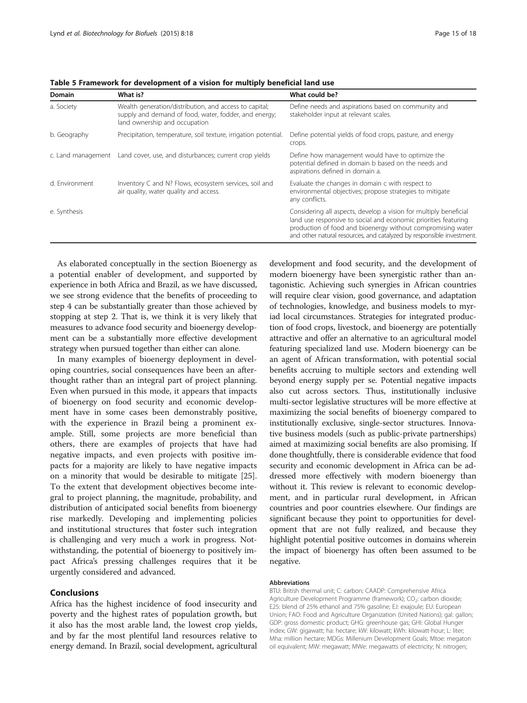| <b>Domain</b>  | What is?                                                                                                                                         | What could be?                                                                                                                                                                                                                                                               |
|----------------|--------------------------------------------------------------------------------------------------------------------------------------------------|------------------------------------------------------------------------------------------------------------------------------------------------------------------------------------------------------------------------------------------------------------------------------|
| a. Society     | Wealth generation/distribution, and access to capital;<br>supply and demand of food, water, fodder, and energy;<br>land ownership and occupation | Define needs and aspirations based on community and<br>stakeholder input at relevant scales.                                                                                                                                                                                 |
| b. Geography   | Precipitation, temperature, soil texture, irrigation potential.                                                                                  | Define potential yields of food crops, pasture, and energy<br>crops.                                                                                                                                                                                                         |
|                | c. Land management Land cover, use, and disturbances; current crop yields                                                                        | Define how management would have to optimize the<br>potential defined in domain b based on the needs and<br>aspirations defined in domain a.                                                                                                                                 |
| d. Environment | Inventory C and N? Flows, ecosystem services, soil and<br>air quality, water quality and access.                                                 | Evaluate the changes in domain c with respect to<br>environmental objectives; propose strategies to mitigate<br>any conflicts.                                                                                                                                               |
| e. Synthesis   |                                                                                                                                                  | Considering all aspects, develop a vision for multiply beneficial<br>land use responsive to social and economic priorities featuring<br>production of food and bioenergy without compromising water<br>and other natural resources, and catalyzed by responsible investment. |

<span id="page-14-0"></span>Table 5 Framework for development of a vision for multiply beneficial land use

As elaborated conceptually in the section Bioenergy as a potential enabler of development, and supported by experience in both Africa and Brazil, as we have discussed, we see strong evidence that the benefits of proceeding to step 4 can be substantially greater than those achieved by stopping at step 2. That is, we think it is very likely that measures to advance food security and bioenergy development can be a substantially more effective development strategy when pursued together than either can alone.

In many examples of bioenergy deployment in developing countries, social consequences have been an afterthought rather than an integral part of project planning. Even when pursued in this mode, it appears that impacts of bioenergy on food security and economic development have in some cases been demonstrably positive, with the experience in Brazil being a prominent example. Still, some projects are more beneficial than others, there are examples of projects that have had negative impacts, and even projects with positive impacts for a majority are likely to have negative impacts on a minority that would be desirable to mitigate [\[25](#page-15-0)]. To the extent that development objectives become integral to project planning, the magnitude, probability, and distribution of anticipated social benefits from bioenergy rise markedly. Developing and implementing policies and institutional structures that foster such integration is challenging and very much a work in progress. Notwithstanding, the potential of bioenergy to positively impact Africa's pressing challenges requires that it be urgently considered and advanced.

# Conclusions

Africa has the highest incidence of food insecurity and poverty and the highest rates of population growth, but it also has the most arable land, the lowest crop yields, and by far the most plentiful land resources relative to energy demand. In Brazil, social development, agricultural

development and food security, and the development of modern bioenergy have been synergistic rather than antagonistic. Achieving such synergies in African countries will require clear vision, good governance, and adaptation of technologies, knowledge, and business models to myriad local circumstances. Strategies for integrated production of food crops, livestock, and bioenergy are potentially attractive and offer an alternative to an agricultural model featuring specialized land use. Modern bioenergy can be an agent of African transformation, with potential social benefits accruing to multiple sectors and extending well beyond energy supply per se. Potential negative impacts also cut across sectors. Thus, institutionally inclusive multi-sector legislative structures will be more effective at maximizing the social benefits of bioenergy compared to institutionally exclusive, single-sector structures. Innovative business models (such as public-private partnerships) aimed at maximizing social benefits are also promising. If done thoughtfully, there is considerable evidence that food security and economic development in Africa can be addressed more effectively with modern bioenergy than without it. This review is relevant to economic development, and in particular rural development, in African countries and poor countries elsewhere. Our findings are significant because they point to opportunities for development that are not fully realized, and because they highlight potential positive outcomes in domains wherein the impact of bioenergy has often been assumed to be negative.

#### Abbreviations

BTU: British thermal unit; C: carbon; CAADP: Comprehensive Africa Agriculture Development Programme (framework); CO<sub>2</sub>: carbon dioxide; E25: blend of 25% ethanol and 75% gasoline; EJ: exajoule; EU: European Union; FAO: Food and Agriculture Organization (United Nations); gal: gallon; GDP: gross domestic product; GHG: greenhouse gas; GHI: Global Hunger Index; GW: gigawatt; ha: hectare; kW: kilowatt; kWh: kilowatt-hour; L: liter; Mha: million hectare; MDGs: Millenium Development Goals; Mtoe: megaton oil equivalent; MW: megawatt; MWe: megawatts of electricity; N: nitrogen;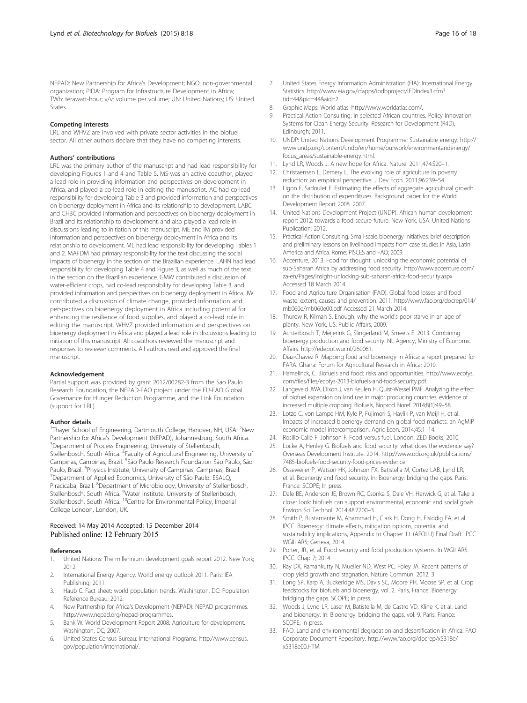<span id="page-15-0"></span>NEPAD: New Partnership for Africa's Development; NGO: non-governmental organization; PIDA: Program for Infrastructure Development in Africa; TWh: terawatt-hour; v/v: volume per volume; UN: United Nations; US: United States.

#### Competing interests

LRL and WHVZ are involved with private sector activities in the biofuel sector. All other authors declare that they have no competing interests.

### Authors' contributions

LRL was the primary author of the manuscript and had lead responsibility for developing Figures 1 and 4 and Table 5. MS was an active coauthor, played a lead role in providing information and perspectives on development in Africa, and played a co-lead role in editing the manuscript. AC had co-lead responsibility for developing Table 3 and provided information and perspectives on bioenergy deployment in Africa and its relationship to development. LABC and CHBC provided information and perspectives on bioenergy deployment in Brazil and its relationship to development, and also played a lead role in discussions leading to initiation of this manuscript. ME and IM provided information and perspectives on bioenergy deployment in Africa and its relationship to development. ML had lead responsibility for developing Tables 1 and 2. MAFDM had primary responsibility for the text discussing the social impacts of bioenergy in the section on the Brazilian experience. LAHN had lead responsibility for developing Table 4 and Figure 3, as well as much of the text in the section on the Brazilian experience. GMW contributed a discussion of water-efficient crops, had co-lead responsibility for developing Table 3, and provided information and perspectives on bioenergy deployment in Africa. JW contributed a discussion of climate change, provided information and perspectives on bioenergy deployment in Africa including potential for enhancing the resilience of food supplies, and played a co-lead role in editing the manuscript. WHVZ provided information and perspectives on bioenergy deployment in Africa and played a lead role in discussions leading to initiation of this manuscript. All coauthors reviewed the manuscript and responses to reviewer comments. All authors read and approved the final manuscript.

#### Acknowledgement

Partial support was provided by grant 2012/00282-3 from the Sao Paulo Research Foundation, the NEPAD-FAO project under the EU-FAO Global Governance for Hunger Reduction Programme, and the Link Foundation (support for LRL).

#### Author details

<sup>1</sup>Thayer School of Engineering, Dartmouth College, Hanover, NH, USA. <sup>2</sup>New Partnership for Africa's Development (NEPAD), Johannesburg, South Africa. <sup>3</sup>Department of Process Engineering, University of Stellenbosch, Stellenbosch, South Africa. <sup>4</sup>Faculty of Agricultural Engineering, University of Campinas, Campinas, Brazil. <sup>5</sup>São Paulo Research Foundation São Paulo, São Paulo, Brazil. <sup>6</sup>Physics Institute, University of Campinas, Campinas, Brazil.<br><sup>7</sup>Denartment of Annlied Economics University of São Paulo, ESALO. <sup>7</sup>Department of Applied Economics, University of São Paulo, ESALQ, Piracicaba, Brazil. <sup>8</sup>Department of Microbiology, University of Stellenbosch, Stellenbosch, South Africa. <sup>9</sup>Water Institute, University of Stellenbosch,<br>Stellenbosch, South Africa. <sup>10</sup>Centre for Environmental Policy, Imperial College London, London, UK.

## Received: 14 May 2014 Accepted: 15 December 2014 Published online: 12 February 2015

#### References

- 1. United Nations: The millennium development goals report 2012. New York; 2012.
- 2. International Energy Agency. World energy outlook 2011. Paris: IEA Publishing; 2011.
- 3. Haub C. Fact sheet: world population trends. Washington, DC: Population Reference Bureau; 2012.
- 4. New Partnership for Africa's Development (NEPAD): NEPAD programmes. <http://www.nepad.org/nepad-programmes>.
- 5. Bank W. World Development Report 2008: Agriculture for development. Washington, DC; 2007.
- 6. United States Census Bureau: International Programs. [http://www.census.](http://www.census.gov/population/international/) [gov/population/international/.](http://www.census.gov/population/international/)
- 7. United States Energy Information Administration (EIA): International Energy Statistics. [http://www.eia.gov/cfapps/ipdbproject/IEDIndex3.cfm?](http://www.eia.gov/cfapps/ipdbproject/IEDIndex3.cfm?tid=44&pid=44&aid=2) [tid=44&pid=44&aid=2.](http://www.eia.gov/cfapps/ipdbproject/IEDIndex3.cfm?tid=44&pid=44&aid=2)
- 8. Graphic Maps: World atlas.<http://www.worldatlas.com/>.
- 9. Practical Action Consulting: in selected African countries. Policy Innovation Systems for Clean Energy Security. Research for Development (R4D), Edinburgh; 2011.
- 10. UNDP: United Nations Development Programme: Sustainable energy. [http://](http://www.undp.org/content/undp/en/home/ourwork/environmentandenergy/focus_areas/sustainable-energy.html) [www.undp.org/content/undp/en/home/ourwork/environmentandenergy/](http://www.undp.org/content/undp/en/home/ourwork/environmentandenergy/focus_areas/sustainable-energy.html) [focus\\_areas/sustainable-energy.html.](http://www.undp.org/content/undp/en/home/ourwork/environmentandenergy/focus_areas/sustainable-energy.html)
- 11. Lynd LR, Woods J. A new hope for Africa. Nature. 2011;474:S20–1.
- 12. Christaensen L, Demery L. The evolving role of agriculture in poverty reduction: an empirical perspective. J Dev Econ. 2011;96:239–54.
- 13. Ligon E, Sadoulet E: Estimating the effects of aggregate agricultural growth on the distribution of expenditures. Background paper for the World Development Report 2008. 2007.
- 14. United Nations Development Project (UNDP). African human development report 2012: towards a food secure future. New York, USA: United Nations Publication; 2012.
- 15. Practical Action Consulting. Small-scale bioenergy initiatives: brief description and preliminary lessons on livelihood impacts from case studies in Asia, Latin America and Africa. Rome: PISCES and FAO; 2009.
- 16. Accenture, 2013. Food for thought: unlocking the economic potential of sub-Saharan Africa by addressing food security. [http://www.accenture.com/](http://www.accenture.com/za-en/Pages/insight-unlocking-sub-saharan-africa-food-security.aspx) [za-en/Pages/insight-unlocking-sub-saharan-africa-food-security.aspx](http://www.accenture.com/za-en/Pages/insight-unlocking-sub-saharan-africa-food-security.aspx) Accessed 18 March 2014.
- 17. Food and Agriculture Organisation (FAO). Global food losses and food waste: extent, causes and prevention. 2011. [http://www.fao.org/docrep/014/](http://www.fao.org/docrep/014/mb060e/mb060e00.pdf) [mb060e/mb060e00.pdf](http://www.fao.org/docrep/014/mb060e/mb060e00.pdf) Accessed 21 March 2014.
- 18. Thurow R, Kilman S. Enough: why the world's poor starve in an age of plenty. New York, US: Public Affairs; 2009.
- 19. Achterbosch T, Meijerink G, Slingerland M, Smeets E. 2013. Combining bioenergy production and food security. NL Agency, Ministry of Economic Affairs.<http://edepot.wur.nl/260061>.
- 20. Diaz-Chavez R. Mapping food and bioenergy in Africa: a report prepared for FARA. Ghana: Forum for Agricultural Research in Africa; 2010.
- 21. Hamelinck, C. Biofuels and food: risks and opportunities. [http://www.ecofys.](http://www.ecofys.com/files/files/ecofys-2013-biofuels-and-food-security.pdf) [com/files/files/ecofys-2013-biofuels-and-food-security.pdf.](http://www.ecofys.com/files/files/ecofys-2013-biofuels-and-food-security.pdf)
- 22. Langeveld JWA, Dixon J, van Keulen H, Quist-Wessel PMF. Analyzing the effect of biofuel expansion on land use in major producing countries: evidence of increased multiple cropping. Biofuels, Bioprod Bioref. 2014;8(1):49–58.
- 23. Lotze C, von Lampe HM, Kyle P, Fujimori S, Havlik P, van Meijl H, et al. Impacts of increased bioenergy demand on global food markets: an AgMIP economic model intercomparison. Agric Econ. 2014;45:1–14.
- 24. Rosillo-Calle F, Johnson F. Food versus fuel. London: ZED Books; 2010.
- 25. Locke A, Henley G. Biofuels and food security: what does the evidence say? Overseas Development Institute. 2014. [http://www.odi.org.uk/publications/](http://www.odi.org.uk/publications/7485-biofuels-food-security-food-prices-evidence) [7485-biofuels-food-security-food-prices-evidence](http://www.odi.org.uk/publications/7485-biofuels-food-security-food-prices-evidence).
- 26. Osseweijer P, Watson HK, Johnson FX, Batistella M, Cortez LAB, Lynd LR, et al. Bioenergy and food security. In: Bioenergy: bridging the gaps. Paris. France: SCOPE; In press.
- 27. Dale BE, Anderson JE, Brown RC, Csonka S, Dale VH, Herwick G, et al. Take a closer look: biofuels can support environmental, economic and social goals. Environ Sci Technol. 2014;48:7200–3.
- 28. Smith P, Bustamante M, Ahammad H, Clark H, Dong H, Elsiddig EA, et al. IPCC. Bioenergy: climate effects, mitigation options, potential and sustainability implications, Appendix to Chapter 11 (AFOLU) Final Draft. IPCC WGIII AR5; Geneva, 2014.
- 29. Porter, JR., et al. Food security and food production systems. In WGII AR5. IPCC. Chap 7; 2014
- 30. Ray DK, Ramankutty N, Mueller ND, West PC, Foley JA. Recent patterns of crop yield growth and stagnation. Nature Commun. 2012; 3
- 31. Long SP, Karp A, Buckeridge MS, Davis SC, Moore PH, Moose SP, et al. Crop feedstocks for biofuels and bioenergy, vol. 2. Paris, France: Bioenergy: bridging the gaps. SCOPE; In press.
- 32. Woods J, Lynd LR, Laser M, Batistella M, de Castro VD, Kline K, et al. Land and bioenergy. In: Bioenergy: bridging the gaps, vol. 9. Paris, France: SCOPE; In press.
- 33. FAO. Land and environmental degradation and desertification in Africa. FAO Corporate Document Repository. [http://www.fao.org/docrep/x5318e/](http://www.fao.org/docrep/x5318e/x5318e00.HTM) [x5318e00.HTM](http://www.fao.org/docrep/x5318e/x5318e00.HTM).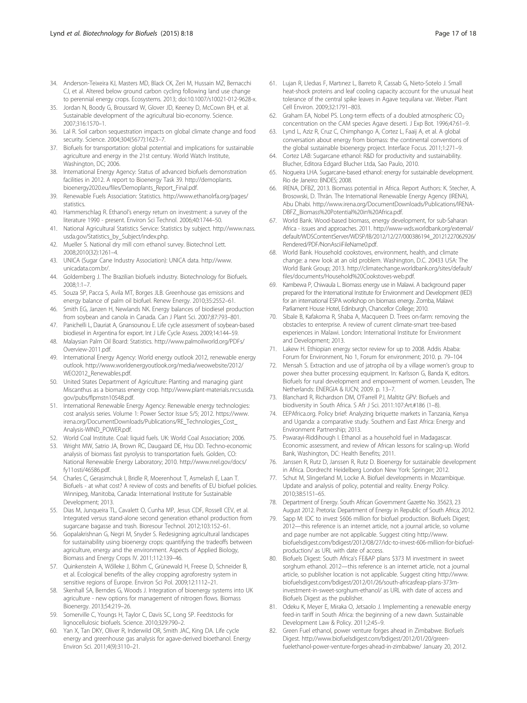- <span id="page-16-0"></span>34. Anderson-Teixeira KJ, Masters MD, Black CK, Zeri M, Hussain MZ, Bernacchi CJ, et al. Altered below ground carbon cycling following land use change to perennial energy crops. Ecosystems. 2013; doi:10.1007/s10021-012-9628-x.
- 35. Jordan N, Boody G, Broussard W, Glover JD, Keeney D, McCown BH, et al. Sustainable development of the agricultural bio-economy. Science. 2007;316:1570–1.
- 36. Lal R. Soil carbon sequestration impacts on global climate change and food security. Science. 2004;304(5677):1623–7.
- 37. Biofuels for transportation: global potential and implications for sustainable agriculture and energy in the 21st century. World Watch Institute, Washington, DC; 2006.
- 38. International Energy Agency: Status of advanced biofuels demonstration facilities in 2012. A report to Bioenergy Task 39. [http://demoplants.](http://demoplants.bioenergy2020.eu/files/Demoplants_Report_Final.pdf) [bioenergy2020.eu/files/Demoplants\\_Report\\_Final.pdf.](http://demoplants.bioenergy2020.eu/files/Demoplants_Report_Final.pdf)
- 39. Renewable Fuels Association: Statistics. [http://www.ethanolrfa.org/pages/](http://www.ethanolrfa.org/pages/statistics) [statistics](http://www.ethanolrfa.org/pages/statistics).
- 40. Hammerschlag R. Ethanol's energy return on investment: a survey of the literature 1990 - present. Environ Sci Technol. 2006;40:1744–50.
- 41. National Agricultural Statistics Service: Statistics by subject. [http://www.nass.](http://www.nass.usda.gov/Statistics_by_Subject/index.php) [usda.gov/Statistics\\_by\\_Subject/index.php.](http://www.nass.usda.gov/Statistics_by_Subject/index.php)
- 42. Mueller S. National dry mill corn ethanol survey. Biotechnol Lett. 2008;2010(32):1261–4.
- 43. UNICA (Sugar Cane Industry Association): UNICA data. [http://www.](http://www.unicadata.com.br/) [unicadata.com.br/.](http://www.unicadata.com.br/)
- 44. Goldemberg J. The Brazilian biofuels industry. Biotechnology for Biofuels. 2008;1:1–7.
- 45. Souza SP, Pacca S, Avila MT, Borges JLB. Greenhouse gas emissions and energy balance of palm oil biofuel. Renew Energy. 2010;35:2552–61.
- 46. Smith EG, Janzen H, Newlands NK. Energy balances of biodiesel production from soybean and canola in Canada. Can J Plant Sci. 2007;87:793–801.
- 47. Panichelli L, Dauriat A, Gnansounou E. Life cycle assessment of soybean-based biodiesel in Argentina for export. Int J Life Cycle Assess. 2009;14:144–59.
- 48. Malaysian Palm Oil Board: Statistics. [http://www.palmoilworld.org/PDFs/](http://www.palmoilworld.org/PDFs/Overview-2011.pdf) [Overview-2011.pdf.](http://www.palmoilworld.org/PDFs/Overview-2011.pdf)
- 49. International Energy Agency: World energy outlook 2012, renewable energy outlook. [http://www.worldenergyoutlook.org/media/weowebsite/2012/](http://www.worldenergyoutlook.org/media/weowebsite/2012/WEO2012_Renewables.pdf) [WEO2012\\_Renewables.pdf](http://www.worldenergyoutlook.org/media/weowebsite/2012/WEO2012_Renewables.pdf).
- 50. United States Department of Agriculture: Planting and managing giant Miscanthus as a biomass energy crop. [http://www.plant-materials.nrcs.usda.](http://www.plant-materials.nrcs.usda.gov/pubs/flpmstn10548.pdf) [gov/pubs/flpmstn10548.pdf.](http://www.plant-materials.nrcs.usda.gov/pubs/flpmstn10548.pdf)
- 51. International Renewable Energy Agency: Renewable energy technologies: cost analysis series. Volume 1: Power Sector Issue 5/5; 2012. [https://www.](https://www.irena.org/DocumentDownloads/Publications/RE_Technologies_Cost_Analysis-WIND_POWER.pdf) [irena.org/DocumentDownloads/Publications/RE\\_Technologies\\_Cost\\_](https://www.irena.org/DocumentDownloads/Publications/RE_Technologies_Cost_Analysis-WIND_POWER.pdf) [Analysis-WIND\\_POWER.pdf.](https://www.irena.org/DocumentDownloads/Publications/RE_Technologies_Cost_Analysis-WIND_POWER.pdf)
- 52. World Coal Institute. Coal: liquid fuels. UK: World Coal Association; 2006.
- 53. Wright MW, Satrio JA, Brown RC, Daugaard DE, Hsu DD. Techno-economic analysis of biomass fast pyrolysis to transportation fuels. Golden, CO: National Renewable Energy Laboratory; 2010. [http://www.nrel.gov/docs/](http://www.nrel.gov/docs/fy11osti/46586.pdf) [fy11osti/46586.pdf.](http://www.nrel.gov/docs/fy11osti/46586.pdf)
- 54. Charles C, Gerasimchuk I, Bridle R, Moerenhout T, Asmelash E, Laan T. Biofuels - at what cost? A review of costs and benefits of EU biofuel policies. Winnipeg, Manitoba, Canada: International Institute for Sustainable Development; 2013.
- 55. Dias M, Junqueira TL, Cavalett O, Cunha MP, Jesus CDF, Rossell CEV, et al. Integrated versus stand-alone second generation ethanol production from sugarcane bagasse and trash. Bioresour Technol. 2012;103:152–61.
- 56. Gopalakrishnan G, Negri M, Snyder S. Redesigning agricultural landscapes for sustainability using bioenergy crops: quantifying the tradeoffs between agriculture, energy and the environment. Aspects of Applied Biology, Biomass and Energy Crops IV. 2011;112:139–46.
- 57. Quinkenstein A, Wőlleke J, Böhm C, Grünewald H, Freese D, Schneider B, et al. Ecological benefits of the alley cropping agroforestry system in sensitive regions of Europe. Environ Sci Pol. 2009;12:1112–21.
- 58. Skenhall SA, Berndes G, Woods J. Integration of bioenergy systems into UK agriculture - new options for management of nitrogen flows. Biomass Bioenergy. 2013;54:219–26.
- 59. Somerville C, Youngs H, Taylor C, Davis SC, Long SP. Feedstocks for lignocellulosic biofuels. Science. 2010;329:790–2.
- 60. Yan X, Tan DKY, Oliver R, Inderwild OR, Smith JAC, King DA. Life cycle energy and greenhouse gas analysis for agave-derived bioethanol. Energy Environ Sci. 2011;4(9):3110–21.
- 61. Lujan R, Lledıas F, Martınez L, Barreto R, Cassab G, Nieto-Sotelo J. Small heat-shock proteins and leaf cooling capacity account for the unusual heat tolerance of the central spike leaves in Agave tequilana var. Weber. Plant Cell Environ. 2009;32:1791–803.
- 62. Graham EA, Nobel PS. Long-term effects of a doubled atmospheric  $CO<sub>2</sub>$ concentration on the CAM species Agave deserti. J Exp Bot. 1996;47:61–9.
- 63. Lynd L, Aziz R, Cruz C, Chimphango A, Cortez L, Faaij A, et al. A global conversation about energy from biomass: the continental conventions of the global sustainable bioenergy project. Interface Focus. 2011;1:271–9.
- 64. Cortez LAB: Sugarcane ethanol: R&D for productivity and sustainability. Blucher, Editora Edgard Blucher Ltda, Sao Paulo, 2010.
- 65. Nogueira LHA. Sugarcane-based ethanol: energy for sustainable development. Rio de Janeiro: BNDES; 2008.
- 66. IRENA, DFBZ, 2013. Biomass potential in Africa. Report Authors: K. Stecher, A. Brosowski, D. Thrän. The International Renewable Energy Agency (IRENA), Abu Dhabi. [http://www.irena.org/DocumentDownloads/Publications/IRENA-](http://www.irena.org/DocumentDownloads/Publications/IRENA-DBFZ_Biomass%20Potential%20in%20Africa.pdf)[DBFZ\\_Biomass%20Potential%20in%20Africa.pdf](http://www.irena.org/DocumentDownloads/Publications/IRENA-DBFZ_Biomass%20Potential%20in%20Africa.pdf).
- 67. World Bank. Wood-based biomass, energy development, for sub-Saharan Africa - issues and approaches. 2011. [http://www-wds.worldbank.org/external/](http://www-wds.worldbank.org/external/default/WDSContentServer/WDSP/IB/2012/12/27/000386194_20121227062926/Rendered/PDF/NonAsciiFileName0.pdf) [default/WDSContentServer/WDSP/IB/2012/12/27/000386194\\_20121227062926/](http://www-wds.worldbank.org/external/default/WDSContentServer/WDSP/IB/2012/12/27/000386194_20121227062926/Rendered/PDF/NonAsciiFileName0.pdf) [Rendered/PDF/NonAsciiFileName0.pdf.](http://www-wds.worldbank.org/external/default/WDSContentServer/WDSP/IB/2012/12/27/000386194_20121227062926/Rendered/PDF/NonAsciiFileName0.pdf)
- 68. World Bank. Household cookstoves, environment, health, and climate change: a new look at an old problem. Washington, D.C. 20433 USA: The World Bank Group; 2013. [http://climatechange.worldbank.org/sites/default/](http://climatechange.worldbank.org/sites/default/files/documents/Household%20Cookstoves-web.pdf) [files/documents/Household%20Cookstoves-web.pdf.](http://climatechange.worldbank.org/sites/default/files/documents/Household%20Cookstoves-web.pdf)
- 69. Kambewa P, Chiwaula L. Biomass energy use in Malawi. A background paper prepared for the International Institute for Environment and Development (IIED) for an international ESPA workshop on biomass energy. Zomba, Malawi: Parliament House Hotel, Edinburgh, Chancellor College; 2010.
- 70. Sibale B, Kafakoma R, Shaba A, Macqueen D. Trees on-farm: removing the obstacles to enterprise. A review of current climate-smart tree-based experiences in Malawi. London: International Institute for Environment and Development; 2013.
- 71. Lakew H. Ethiopian energy sector review for up to 2008. Addis Ababa: Forum for Environment, No 1, Forum for environment; 2010. p. 79–104
- 72. Mensah S. Extraction and use of jatropha oil by a village women's group to power shea butter processing equipment. In: Karlsson G, Banda K, editors. Biofuels for rural development and empowerment of women. Leusden, The Netherlands: ENERGIA & IUCN; 2009. p. 13–7.
- 73. Blanchard R, Richardson DM, O'Farrell PJ, Maltitz GPV: Biofuels and biodiversity in South Africa. S Afr J Sci. 2011:107:Art.#186 (1–8).
- 74. EEPAfrica.org. Policy brief: Analyzing briquette markets in Tanzania, Kenya and Uganda: a comparative study. Southern and East Africa: Energy and Environment Partnership; 2013.
- 75. Pswarayi-Riddihough I. Ethanol as a household fuel in Madagascar. Economic assessment, and review of African lessons for scaling-up. World Bank, Washington, DC: Health Benefits; 2011.
- 76. Janssen R, Rutz D, Janssen R, Rutz D. Bioenergy for sustainable development in Africa. Dordrecht Heidelberg London New York: Springer; 2012.
- 77. Schut M, Slingerland M, Locke A. Biofuel developments in Mozambique. Update and analysis of policy, potential and reality. Energy Policy. 2010;38:5151–65.
- 78. Department of Energy. South African Government Gazette No. 35623, 23 August 2012. Pretoria: Department of Energy in Republic of South Africa; 2012.
- 79. Sapp M: IDC to invest \$606 million for biofuel production. Biofuels Digest; 2012—this reference is an internet article, not a journal article, so volume and page number are not applicable. Suggest citing [http://www.](http://www.biofuelsdigest.com/bdigest/2012/08/27/idc-to-invest-606-million-for-biofuel-production/) [biofuelsdigest.com/bdigest/2012/08/27/idc-to-invest-606-million-for-biofuel](http://www.biofuelsdigest.com/bdigest/2012/08/27/idc-to-invest-606-million-for-biofuel-production/)[production/](http://www.biofuelsdigest.com/bdigest/2012/08/27/idc-to-invest-606-million-for-biofuel-production/) as URL with date of access.
- 80. Biofuels Digest: South Africa's FE&AP plans \$373 M investment in sweet sorghum ethanol. 2012—this reference is an internet article, not a journal article, so publisher location is not applicable. Suggest citing [http://www.](http://www.biofuelsdigest.com/bdigest/2012/01/26/south-africasfeap-plans-373m-investment-in-sweet-sorghum-ethanol/) [biofuelsdigest.com/bdigest/2012/01/26/south-africasfeap-plans-373m](http://www.biofuelsdigest.com/bdigest/2012/01/26/south-africasfeap-plans-373m-investment-in-sweet-sorghum-ethanol/)[investment-in-sweet-sorghum-ethanol/](http://www.biofuelsdigest.com/bdigest/2012/01/26/south-africasfeap-plans-373m-investment-in-sweet-sorghum-ethanol/) as URL with date of access and Biofuels Digest as the publisher.
- 81. Odeku K, Meyer E, Miraka O, Jetsaolo J. Implementing a renewable energy feed-in tariff in South Africa: the beginning of a new dawn. Sustainable Development Law & Policy. 2011;2:45–9.
- 82. Green Fuel ethanol, power venture forges ahead in Zimbabwe. Biofuels Digest. [http://www.biofuelsdigest.com/bdigest/2012/01/20/green](http://www.biofuelsdigest.com/bdigest/2012/01/20/green-fuelethanol-power-venture-forges-ahead-in-zimbabwe/)[fuelethanol-power-venture-forges-ahead-in-zimbabwe/](http://www.biofuelsdigest.com/bdigest/2012/01/20/green-fuelethanol-power-venture-forges-ahead-in-zimbabwe/) January 20, 2012.